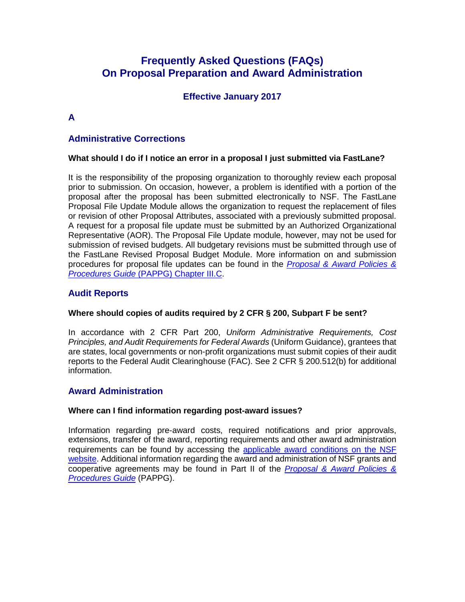# **Frequently Asked Questions (FAQs) On Proposal Preparation and Award Administration**

# **Effective January 2017**

# **A**

## **Administrative Corrections**

### **What should I do if I notice an error in a proposal I just submitted via FastLane?**

It is the responsibility of the proposing organization to thoroughly review each proposal prior to submission. On occasion, however, a problem is identified with a portion of the proposal after the proposal has been submitted electronically to NSF. The FastLane Proposal File Update Module allows the organization to request the replacement of files or revision of other Proposal Attributes, associated with a previously submitted proposal. A request for a proposal file update must be submitted by an Authorized Organizational Representative (AOR). The Proposal File Update module, however, may not be used for submission of revised budgets. All budgetary revisions must be submitted through use of the FastLane Revised Proposal Budget Module. More information on and submission procedures for proposal file updates can be found in the *Proposal [& Award Policies &](https://www.nsf.gov/pubs/policydocs/pappg17_1/pappg_3.jsp#IIIC)  Procedures Guide* [\(PAPPG\) Chapter III.C.](https://www.nsf.gov/pubs/policydocs/pappg17_1/pappg_3.jsp#IIIC)

## **Audit Reports**

### **Where should copies of audits required by 2 CFR § 200, Subpart F be sent?**

In accordance with 2 CFR Part 200, *Uniform Administrative Requirements, Cost Principles, and Audit Requirements for Federal Awards* (Uniform Guidance), grantees that are states, local governments or non-profit organizations must submit copies of their audit reports to the Federal Audit Clearinghouse (FAC). See 2 CFR § 200.512(b) for additional information.

## **Award Administration**

### **Where can I find information regarding post-award issues?**

Information regarding pre-award costs, required notifications and prior approvals, extensions, transfer of the award, reporting requirements and other award administration requirements can be found by accessing the [applicable award conditions on the NSF](https://nsf.gov/awards/managing/award_conditions.jsp?org=NSF)  [website.](https://nsf.gov/awards/managing/award_conditions.jsp?org=NSF) Additional information regarding the award and administration of NSF grants and cooperative agreements may be found in Part II of the *[Proposal & Award Policies &](https://www.nsf.gov/pubs/policydocs/pappg17_1/index.jsp)  [Procedures](https://www.nsf.gov/pubs/policydocs/pappg17_1/index.jsp) Guide* (PAPPG).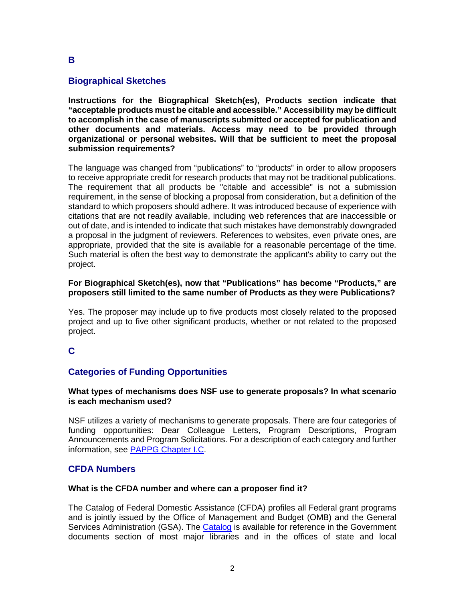## **Biographical Sketches**

**Instructions for the Biographical Sketch(es), Products section indicate that "acceptable products must be citable and accessible." Accessibility may be difficult to accomplish in the case of manuscripts submitted or accepted for publication and other documents and materials. Access may need to be provided through organizational or personal websites. Will that be sufficient to meet the proposal submission requirements?** 

The language was changed from "publications" to "products" in order to allow proposers to receive appropriate credit for research products that may not be traditional publications. The requirement that all products be "citable and accessible" is not a submission requirement, in the sense of blocking a proposal from consideration, but a definition of the standard to which proposers should adhere. It was introduced because of experience with citations that are not readily available, including web references that are inaccessible or out of date, and is intended to indicate that such mistakes have demonstrably downgraded a proposal in the judgment of reviewers. References to websites, even private ones, are appropriate, provided that the site is available for a reasonable percentage of the time. Such material is often the best way to demonstrate the applicant's ability to carry out the project.

#### **For Biographical Sketch(es), now that "Publications" has become "Products," are proposers still limited to the same number of Products as they were Publications?**

Yes. The proposer may include up to five products most closely related to the proposed project and up to five other significant products, whether or not related to the proposed project.

## **C**

## **Categories of Funding Opportunities**

#### **What types of mechanisms does NSF use to generate proposals? In what scenario is each mechanism used?**

NSF utilizes a variety of mechanisms to generate proposals. There are four categories of funding opportunities: Dear Colleague Letters, Program Descriptions, Program Announcements and Program Solicitations. For a description of each category and further information, see [PAPPG Chapter I.C.](https://www.nsf.gov/pubs/policydocs/pappg17_1/pappg_1.jsp#IC)

### **CFDA Numbers**

#### **What is the CFDA number and where can a proposer find it?**

The Catalog of Federal Domestic Assistance (CFDA) profiles all Federal grant programs and is jointly issued by the Office of Management and Budget (OMB) and the General Services Administration (GSA). The [Catalog](https://www.cfda.gov/) is available for reference in the Government documents section of most major libraries and in the offices of state and local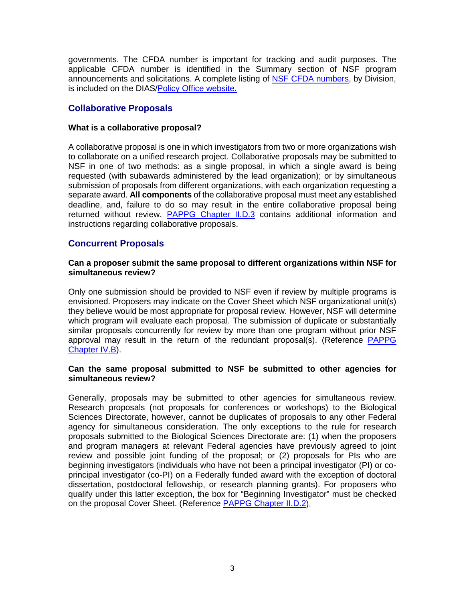governments. The CFDA number is important for tracking and audit purposes. The applicable CFDA number is identified in the Summary section of NSF program announcements and solicitations. A complete listing of [NSF CFDA numbers,](http://www.nsf.gov/bfa/dias/policy/cfda.jsp) by Division, is included on the DIAS[/Policy Office website.](http://www.nsf.gov/bfa/dias/policy/)

## **Collaborative Proposals**

#### **What is a collaborative proposal?**

A collaborative proposal is one in which investigators from two or more organizations wish to collaborate on a unified research project. Collaborative proposals may be submitted to NSF in one of two methods: as a single proposal, in which a single award is being requested (with subawards administered by the lead organization); or by simultaneous submission of proposals from different organizations, with each organization requesting a separate award. **All components** of the collaborative proposal must meet any established deadline, and, failure to do so may result in the entire collaborative proposal being returned without review. [PAPPG Chapter II.D.3](https://www.nsf.gov/pubs/policydocs/pappg17_1/pappg_2.jsp#IID3) contains additional information and instructions regarding collaborative proposals.

## **Concurrent Proposals**

#### **Can a proposer submit the same proposal to different organizations within NSF for simultaneous review?**

Only one submission should be provided to NSF even if review by multiple programs is envisioned. Proposers may indicate on the Cover Sheet which NSF organizational unit(s) they believe would be most appropriate for proposal review. However, NSF will determine which program will evaluate each proposal. The submission of duplicate or substantially similar proposals concurrently for review by more than one program without prior NSF approval may result in the return of the redundant proposal(s). (Reference [PAPPG](https://www.nsf.gov/pubs/policydocs/pappg17_1/pappg_4.jsp#IVB)  [Chapter IV.B\)](https://www.nsf.gov/pubs/policydocs/pappg17_1/pappg_4.jsp#IVB).

#### **Can the same proposal submitted to NSF be submitted to other agencies for simultaneous review?**

Generally, proposals may be submitted to other agencies for simultaneous review. Research proposals (not proposals for conferences or workshops) to the Biological Sciences Directorate, however, cannot be duplicates of proposals to any other Federal agency for simultaneous consideration. The only exceptions to the rule for research proposals submitted to the Biological Sciences Directorate are: (1) when the proposers and program managers at relevant Federal agencies have previously agreed to joint review and possible joint funding of the proposal; or (2) proposals for PIs who are beginning investigators (individuals who have not been a principal investigator (PI) or coprincipal investigator (co-PI) on a Federally funded award with the exception of doctoral dissertation, postdoctoral fellowship, or research planning grants). For proposers who qualify under this latter exception, the box for "Beginning Investigator" must be checked on the proposal Cover Sheet. (Reference [PAPPG Chapter II.D.2\)](https://www.nsf.gov/pubs/policydocs/pappg17_1/pappg_2.jsp#IID2).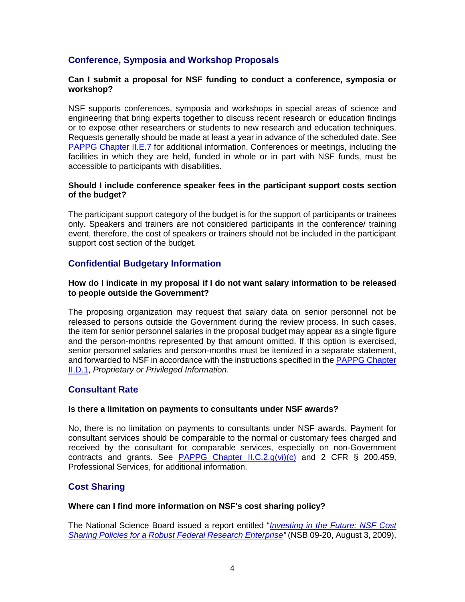## **Conference, Symposia and Workshop Proposals**

### **Can I submit a proposal for NSF funding to conduct a conference, symposia or workshop?**

NSF supports conferences, symposia and workshops in special areas of science and engineering that bring experts together to discuss recent research or education findings or to expose other researchers or students to new research and education techniques. Requests generally should be made at least a year in advance of the scheduled date. See [PAPPG Chapter II.E.7](https://www.nsf.gov/pubs/policydocs/pappg17_1/pappg_2.jsp#IIE7) for additional information. Conferences or meetings, including the facilities in which they are held, funded in whole or in part with NSF funds, must be accessible to participants with disabilities.

#### **Should I include conference speaker fees in the participant support costs section of the budget?**

The participant support category of the budget is for the support of participants or trainees only. Speakers and trainers are not considered participants in the conference/ training event, therefore, the cost of speakers or trainers should not be included in the participant support cost section of the budget.

## **Confidential Budgetary Information**

#### **How do I indicate in my proposal if I do not want salary information to be released to people outside the Government?**

The proposing organization may request that salary data on senior personnel not be released to persons outside the Government during the review process. In such cases, the item for senior personnel salaries in the proposal budget may appear as a single figure and the person-months represented by that amount omitted. If this option is exercised, senior personnel salaries and person-months must be itemized in a separate statement, and forwarded to NSF in accordance with the instructions specified in th[e PAPPG Chapter](https://www.nsf.gov/pubs/policydocs/pappg17_1/pappg_1.jsp#IID1)  [II.D.1,](https://www.nsf.gov/pubs/policydocs/pappg17_1/pappg_1.jsp#IID1) *Proprietary or Privileged Information*.

### **Consultant Rate**

#### **Is there a limitation on payments to consultants under NSF awards?**

No, there is no limitation on payments to consultants under NSF awards. Payment for consultant services should be comparable to the normal or customary fees charged and received by the consultant for comparable services, especially on non-Government contracts and grants. See PAPPG Chapter II.C.2. $q(vi)(c)$  and 2 CFR § 200.459, Professional Services, for additional information.

## **Cost Sharing**

#### **Where can I find more information on NSF's cost sharing policy?**

The National Science Board issued a report entitled "*[Investing in the Future: NSF](http://www.nsf.gov/nsb/publications/pub_summ.jsp?ods_key=nsb0920) Cost [Sharing Policies for a Robust Federal Research Enterprise"](http://www.nsf.gov/nsb/publications/pub_summ.jsp?ods_key=nsb0920)* (NSB 09-20, August 3, 2009),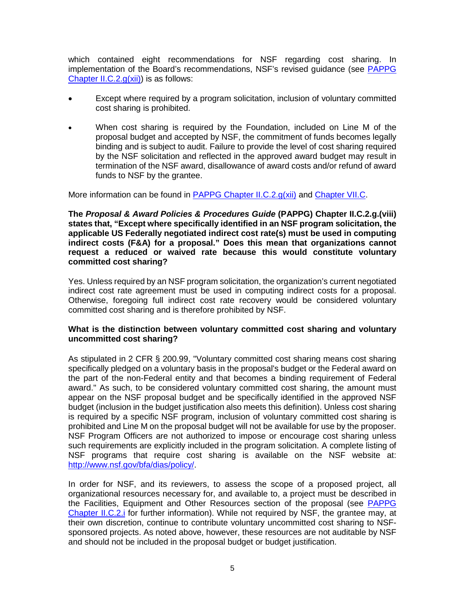which contained eight recommendations for NSF regarding cost sharing. In implementation of the Board's recommendations, NSF's revised guidance (see [PAPPG](https://www.nsf.gov/pubs/policydocs/pappg17_1/pappg_2.jsp#IIC2gxii)  [Chapter II.C.2.g\(xii\)\)](https://www.nsf.gov/pubs/policydocs/pappg17_1/pappg_2.jsp#IIC2gxii) is as follows:

- Except where required by a program solicitation, inclusion of voluntary committed cost sharing is prohibited.
- When cost sharing is required by the Foundation, included on Line M of the proposal budget and accepted by NSF, the commitment of funds becomes legally binding and is subject to audit. Failure to provide the level of cost sharing required by the NSF solicitation and reflected in the approved award budget may result in termination of the NSF award, disallowance of award costs and/or refund of award funds to NSF by the grantee.

More information can be found in [PAPPG Chapter II.C.2.g\(xii\)](https://www.nsf.gov/pubs/policydocs/pappg17_1/pappg_2.jsp#IIC2gxii) and [Chapter VII.C.](https://www.nsf.gov/pubs/policydocs/pappg17_1/pappg_7.jsp#VIIC)

**The** *Proposal & Award Policies & Procedures Guide* **(PAPPG) Chapter II.C.2.g.(viii) states that, "Except where specifically identified in an NSF program solicitation, the applicable US Federally negotiated indirect cost rate(s) must be used in computing indirect costs (F&A) for a proposal." Does this mean that organizations cannot request a reduced or waived rate because this would constitute voluntary committed cost sharing?**

Yes. Unless required by an NSF program solicitation, the organization's current negotiated indirect cost rate agreement must be used in computing indirect costs for a proposal. Otherwise, foregoing full indirect cost rate recovery would be considered voluntary committed cost sharing and is therefore prohibited by NSF.

#### **What is the distinction between voluntary committed cost sharing and voluntary uncommitted cost sharing?**

As stipulated in 2 CFR § 200.99, "Voluntary committed cost sharing means cost sharing specifically pledged on a voluntary basis in the proposal's budget or the Federal award on the part of the non-Federal entity and that becomes a binding requirement of Federal award." As such, to be considered voluntary committed cost sharing, the amount must appear on the NSF proposal budget and be specifically identified in the approved NSF budget (inclusion in the budget justification also meets this definition). Unless cost sharing is required by a specific NSF program, inclusion of voluntary committed cost sharing is prohibited and Line M on the proposal budget will not be available for use by the proposer. NSF Program Officers are not authorized to impose or encourage cost sharing unless such requirements are explicitly included in the program solicitation. A complete listing of NSF programs that require cost sharing is available on the NSF website at: [http://www.nsf.gov/bfa/dias/policy/.](http://www.nsf.gov/bfa/dias/policy/)

In order for NSF, and its reviewers, to assess the scope of a proposed project, all organizational resources necessary for, and available to, a project must be described in the Facilities, Equipment and Other Resources section of the proposal (see [PAPPG](https://www.nsf.gov/pubs/policydocs/pappg17_1/pappg_2.jsp#IIC2i)  [Chapter II.C.2.i](https://www.nsf.gov/pubs/policydocs/pappg17_1/pappg_2.jsp#IIC2i) for further information). While not required by NSF, the grantee may, at their own discretion, continue to contribute voluntary uncommitted cost sharing to NSFsponsored projects. As noted above, however, these resources are not auditable by NSF and should not be included in the proposal budget or budget justification.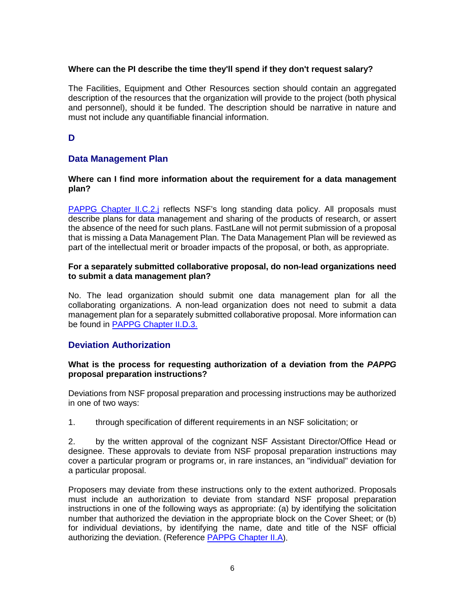### **Where can the PI describe the time they'll spend if they don't request salary?**

The Facilities, Equipment and Other Resources section should contain an aggregated description of the resources that the organization will provide to the project (both physical and personnel), should it be funded. The description should be narrative in nature and must not include any quantifiable financial information.

## **D**

## **Data Management Plan**

#### **Where can I find more information about the requirement for a data management plan?**

[PAPPG Chapter](https://www.nsf.gov/pubs/policydocs/pappg17_1/pappg_2.jsp#IIC2j) II.C.2.j reflects NSF's long standing data policy. All proposals must describe plans for data management and sharing of the products of research, or assert the absence of the need for such plans. FastLane will not permit submission of a proposal that is missing a Data Management Plan. The Data Management Plan will be reviewed as part of the intellectual merit or broader impacts of the proposal, or both, as appropriate.

#### **For a separately submitted collaborative proposal, do non-lead organizations need to submit a data management plan?**

No. The lead organization should submit one data management plan for all the collaborating organizations. A non-lead organization does not need to submit a data management plan for a separately submitted collaborative proposal. More information can be found in [PAPPG Chapter II.D.3.](https://www.nsf.gov/pubs/policydocs/pappg17_1/pappg_2.jsp#IID3)

### **Deviation Authorization**

#### **What is the process for requesting authorization of a deviation from the** *PAPPG* **proposal preparation instructions?**

Deviations from NSF proposal preparation and processing instructions may be authorized in one of two ways:

1. through specification of different requirements in an NSF solicitation; or

2. by the written approval of the cognizant NSF Assistant Director/Office Head or designee. These approvals to deviate from NSF proposal preparation instructions may cover a particular program or programs or, in rare instances, an "individual" deviation for a particular proposal.

Proposers may deviate from these instructions only to the extent authorized. Proposals must include an authorization to deviate from standard NSF proposal preparation instructions in one of the following ways as appropriate: (a) by identifying the solicitation number that authorized the deviation in the appropriate block on the Cover Sheet; or (b) for individual deviations, by identifying the name, date and title of the NSF official authorizing the deviation. (Reference [PAPPG Chapter II.A\)](https://www.nsf.gov/pubs/policydocs/pappg17_1/pappg_2.jsp#IIA).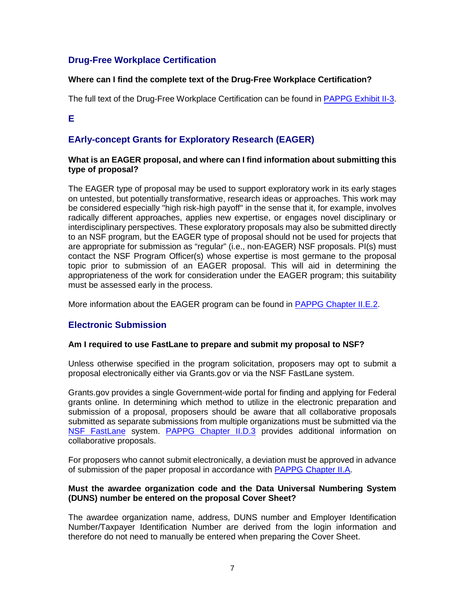## **Drug-Free Workplace Certification**

## **Where can I find the complete text of the Drug-Free Workplace Certification?**

The full text of the Drug-Free Workplace Certification can be found in [PAPPG Exhibit II-3.](https://www.nsf.gov/pubs/policydocs/pappg17_1/pappg_2.jsp#2ex3)

**E**

# **EArly-concept Grants for Exploratory Research (EAGER)**

#### **What is an EAGER proposal, and where can I find information about submitting this type of proposal?**

The EAGER type of proposal may be used to support exploratory work in its early stages on untested, but potentially transformative, research ideas or approaches. This work may be considered especially "high risk-high payoff" in the sense that it, for example, involves radically different approaches, applies new expertise, or engages novel disciplinary or interdisciplinary perspectives. These exploratory proposals may also be submitted directly to an NSF program, but the EAGER type of proposal should not be used for projects that are appropriate for submission as "regular" (i.e., non-EAGER) NSF proposals. PI(s) must contact the NSF Program Officer(s) whose expertise is most germane to the proposal topic prior to submission of an EAGER proposal. This will aid in determining the appropriateness of the work for consideration under the EAGER program; this suitability must be assessed early in the process.

More information about the EAGER program can be found in PAPPG [Chapter II.E.2.](https://www.nsf.gov/pubs/policydocs/pappg17_1/pappg_2.jsp#IIE2)

## **Electronic Submission**

### **Am I required to use FastLane to prepare and submit my proposal to NSF?**

Unless otherwise specified in the program solicitation, proposers may opt to submit a proposal electronically either via Grants.gov or via the NSF FastLane system.

Grants.gov provides a single Government-wide portal for finding and applying for Federal grants online. In determining which method to utilize in the electronic preparation and submission of a proposal, proposers should be aware that all collaborative proposals submitted as separate submissions from multiple organizations must be submitted via the [NSF FastLane](https://www.fastlane.nsf.gov/) system. [PAPPG Chapter II.D.3](https://www.nsf.gov/pubs/policydocs/pappg17_1/pappg_2.jsp#IID3) provides additional information on collaborative proposals.

For proposers who cannot submit electronically, a deviation must be approved in advance of submission of the paper proposal in accordance with [PAPPG Chapter II.A.](https://www.nsf.gov/pubs/policydocs/pappg17_1/pappg_2.jsp#IIA)

#### **Must the awardee organization code and the Data Universal Numbering System (DUNS) number be entered on the proposal Cover Sheet?**

The awardee organization name, address, DUNS number and Employer Identification Number/Taxpayer Identification Number are derived from the login information and therefore do not need to manually be entered when preparing the Cover Sheet.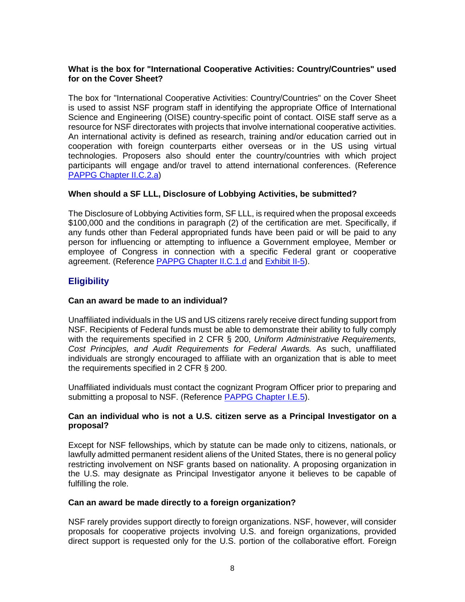### **What is the box for "International Cooperative Activities: Country/Countries" used for on the Cover Sheet?**

The box for "International Cooperative Activities: Country/Countries" on the Cover Sheet is used to assist NSF program staff in identifying the appropriate Office of International Science and Engineering (OISE) country-specific point of contact. OISE staff serve as a resource for NSF directorates with projects that involve international cooperative activities. An international activity is defined as research, training and/or education carried out in cooperation with foreign counterparts either overseas or in the US using virtual technologies. Proposers also should enter the country/countries with which project participants will engage and/or travel to attend international conferences. (Reference [PAPPG Chapter II.C.2.a\)](https://www.nsf.gov/pubs/policydocs/pappg17_1/pappg_2.jsp#IIC2a)

#### **When should a SF LLL, Disclosure of Lobbying Activities, be submitted?**

The Disclosure of Lobbying Activities form, SF LLL, is required when the proposal exceeds \$100,000 and the conditions in paragraph (2) of the certification are met. Specifically, if any funds other than Federal appropriated funds have been paid or will be paid to any person for influencing or attempting to influence a Government employee, Member or employee of Congress in connection with a specific Federal grant or cooperative agreement. (Reference [PAPPG Chapter II.C.1.d](https://www.nsf.gov/pubs/policydocs/pappg17_1/pappg_2.jsp#IIC1d) and [Exhibit II-5\)](https://www.nsf.gov/pubs/policydocs/pappg17_1/pappg_2.jsp#2ex5).

## **Eligibility**

### **Can an award be made to an individual?**

Unaffiliated individuals in the US and US citizens rarely receive direct funding support from NSF. Recipients of Federal funds must be able to demonstrate their ability to fully comply with the requirements specified in 2 CFR § 200, *Uniform Administrative Requirements, Cost Principles, and Audit Requirements for Federal Awards.* As such, unaffiliated individuals are strongly encouraged to affiliate with an organization that is able to meet the requirements specified in 2 CFR § 200.

Unaffiliated individuals must contact the cognizant Program Officer prior to preparing and submitting a proposal to NSF. (Reference [PAPPG Chapter I.E.5\)](https://www.nsf.gov/pubs/policydocs/pappg17_1/pappg_1.jsp#IE5).

#### **Can an individual who is not a U.S. citizen serve as a Principal Investigator on a proposal?**

Except for NSF fellowships, which by statute can be made only to citizens, nationals, or lawfully admitted permanent resident aliens of the United States, there is no general policy restricting involvement on NSF grants based on nationality. A proposing organization in the U.S. may designate as Principal Investigator anyone it believes to be capable of fulfilling the role.

#### **Can an award be made directly to a foreign organization?**

NSF rarely provides support directly to foreign organizations. NSF, however, will consider proposals for cooperative projects involving U.S. and foreign organizations, provided direct support is requested only for the U.S. portion of the collaborative effort. Foreign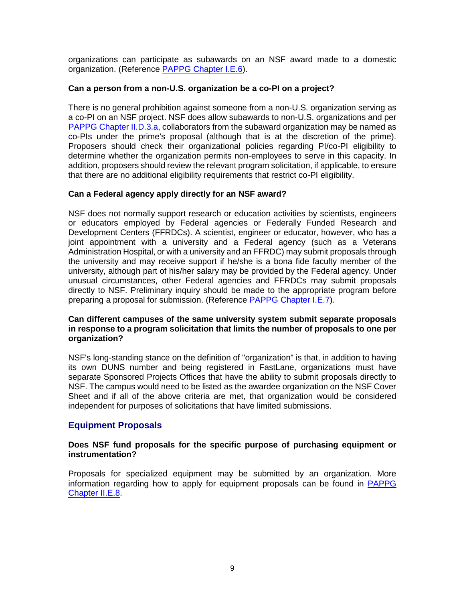organizations can participate as subawards on an NSF award made to a domestic organization. (Reference [PAPPG Chapter I.E.6\)](https://www.nsf.gov/pubs/policydocs/pappg17_1/pappg_1.jsp#IE6).

### **Can a person from a non-U.S. organization be a co-PI on a project?**

There is no general prohibition against someone from a non-U.S. organization serving as a co-PI on an NSF project. NSF does allow subawards to non-U.S. organizations and per [PAPPG Chapter II.D.3.a,](https://www.nsf.gov/pubs/policydocs/pappg17_1/pappg_2.jsp#IID3) collaborators from the subaward organization may be named as co-PIs under the prime's proposal (although that is at the discretion of the prime). Proposers should check their organizational policies regarding PI/co-PI eligibility to determine whether the organization permits non-employees to serve in this capacity. In addition, proposers should review the relevant program solicitation, if applicable, to ensure that there are no additional eligibility requirements that restrict co-PI eligibility.

#### **Can a Federal agency apply directly for an NSF award?**

NSF does not normally support research or education activities by scientists, engineers or educators employed by Federal agencies or Federally Funded Research and Development Centers (FFRDCs). A scientist, engineer or educator, however, who has a joint appointment with a university and a Federal agency (such as a Veterans Administration Hospital, or with a university and an FFRDC) may submit proposals through the university and may receive support if he/she is a bona fide faculty member of the university, although part of his/her salary may be provided by the Federal agency. Under unusual circumstances, other Federal agencies and FFRDCs may submit proposals directly to NSF. Preliminary inquiry should be made to the appropriate program before preparing a proposal for submission. (Reference [PAPPG Chapter I.E.7\)](https://www.nsf.gov/pubs/policydocs/pappg17_1/pappg_1.jsp#IE7).

#### **Can different campuses of the same university system submit separate proposals in response to a program solicitation that limits the number of proposals to one per organization?**

NSF's long-standing stance on the definition of "organization" is that, in addition to having its own DUNS number and being registered in FastLane, organizations must have separate Sponsored Projects Offices that have the ability to submit proposals directly to NSF. The campus would need to be listed as the awardee organization on the NSF Cover Sheet and if all of the above criteria are met, that organization would be considered independent for purposes of solicitations that have limited submissions.

## **Equipment Proposals**

#### **Does NSF fund proposals for the specific purpose of purchasing equipment or instrumentation?**

Proposals for specialized equipment may be submitted by an organization. More information regarding how to apply for equipment proposals can be found in [PAPPG](https://www.nsf.gov/pubs/policydocs/pappg17_1/pappg_2.jsp#IIE8)  [Chapter II.E.8.](https://www.nsf.gov/pubs/policydocs/pappg17_1/pappg_2.jsp#IIE8)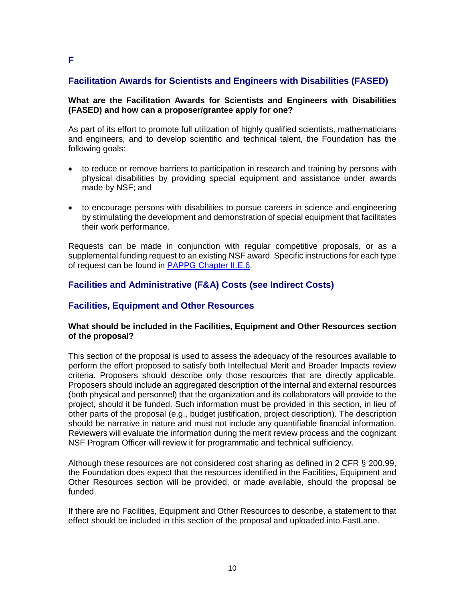## **Facilitation Awards for Scientists and Engineers with Disabilities (FASED)**

#### **What are the Facilitation Awards for Scientists and Engineers with Disabilities (FASED) and how can a proposer/grantee apply for one?**

As part of its effort to promote full utilization of highly qualified scientists, mathematicians and engineers, and to develop scientific and technical talent, the Foundation has the following goals:

- to reduce or remove barriers to participation in research and training by persons with physical disabilities by providing special equipment and assistance under awards made by NSF; and
- to encourage persons with disabilities to pursue careers in science and engineering by stimulating the development and demonstration of special equipment that facilitates their work performance.

Requests can be made in conjunction with regular competitive proposals, or as a supplemental funding request to an existing NSF award. Specific instructions for each type of request can be found in [PAPPG Chapter II.E.6.](https://www.nsf.gov/pubs/policydocs/pappg17_1/pappg_2.jsp#IIE6)

## **Facilities and Administrative (F&A) Costs (see Indirect Costs)**

## **Facilities, Equipment and Other Resources**

#### **What should be included in the Facilities, Equipment and Other Resources section of the proposal?**

This section of the proposal is used to assess the adequacy of the resources available to perform the effort proposed to satisfy both Intellectual Merit and Broader Impacts review criteria. Proposers should describe only those resources that are directly applicable. Proposers should include an aggregated description of the internal and external resources (both physical and personnel) that the organization and its collaborators will provide to the project, should it be funded. Such information must be provided in this section, in lieu of other parts of the proposal (e.g., budget justification, project description). The description should be narrative in nature and must not include any quantifiable financial information. Reviewers will evaluate the information during the merit review process and the cognizant NSF Program Officer will review it for programmatic and technical sufficiency.

Although these resources are not considered cost sharing as defined in 2 CFR § 200.99, the Foundation does expect that the resources identified in the Facilities, Equipment and Other Resources section will be provided, or made available, should the proposal be funded.

If there are no Facilities, Equipment and Other Resources to describe, a statement to that effect should be included in this section of the proposal and uploaded into FastLane.

**F**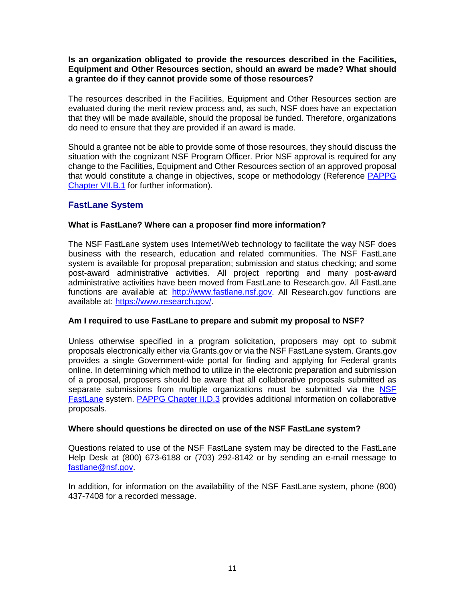#### **Is an organization obligated to provide the resources described in the Facilities, Equipment and Other Resources section, should an award be made? What should a grantee do if they cannot provide some of those resources?**

The resources described in the Facilities, Equipment and Other Resources section are evaluated during the merit review process and, as such, NSF does have an expectation that they will be made available, should the proposal be funded. Therefore, organizations do need to ensure that they are provided if an award is made.

Should a grantee not be able to provide some of those resources, they should discuss the situation with the cognizant NSF Program Officer. Prior NSF approval is required for any change to the Facilities, Equipment and Other Resources section of an approved proposal that would constitute a change in objectives, scope or methodology (Reference [PAPPG](https://www.nsf.gov/pubs/policydocs/pappg17_1/pappg_7.jsp#VIIB1) [Chapter VII.B.1](https://www.nsf.gov/pubs/policydocs/pappg17_1/pappg_7.jsp#VIIB1) for further information).

## **FastLane System**

#### **What is FastLane? Where can a proposer find more information?**

The NSF FastLane system uses Internet/Web technology to facilitate the way NSF does business with the research, education and related communities. The NSF FastLane system is available for proposal preparation; submission and status checking; and some post-award administrative activities. All project reporting and many post-award administrative activities have been moved from FastLane to Research.gov. All FastLane functions are available at: [http://www.fastlane.nsf.gov.](http://www.fastlane.nsf.gov/) All Research.gov functions are available at: [https://www.research.gov/.](https://www.research.gov/)

#### **Am I required to use FastLane to prepare and submit my proposal to NSF?**

Unless otherwise specified in a program solicitation, proposers may opt to submit proposals electronically either via Grants.gov or via the NSF FastLane system. Grants.gov provides a single Government-wide portal for finding and applying for Federal grants online. In determining which method to utilize in the electronic preparation and submission of a proposal, proposers should be aware that all collaborative proposals submitted as separate submissions from multiple organizations must be submitted via the NSF [FastLane](https://www.fastlane.nsf.gov/) system. [PAPPG Chapter II.D.3](https://www.nsf.gov/pubs/policydocs/pappg17_1/pappg_2.jsp#IID3) provides additional information on collaborative proposals.

#### **Where should questions be directed on use of the NSF FastLane system?**

Questions related to use of the NSF FastLane system may be directed to the FastLane Help Desk at (800) 673-6188 or (703) 292-8142 or by sending an e-mail message to [fastlane@nsf.gov.](mailto:fastlane@nsf.gov)

In addition, for information on the availability of the NSF FastLane system, phone (800) 437-7408 for a recorded message.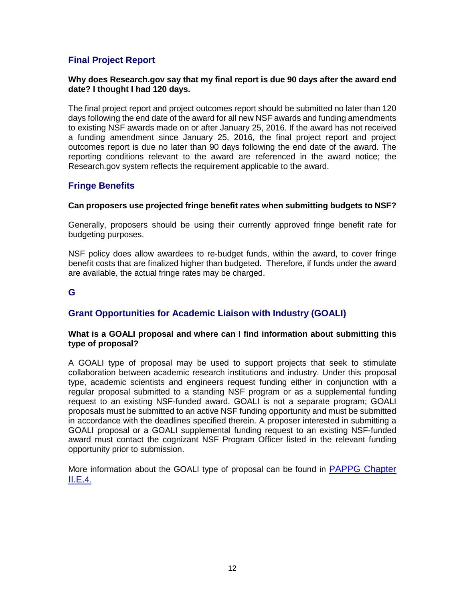## **Final Project Report**

#### **Why does Research.gov say that my final report is due 90 days after the award end date? I thought I had 120 days.**

The final project report and project outcomes report should be submitted no later than 120 days following the end date of the award for all new NSF awards and funding amendments to existing NSF awards made on or after January 25, 2016. If the award has not received a funding amendment since January 25, 2016, the final project report and project outcomes report is due no later than 90 days following the end date of the award. The reporting conditions relevant to the award are referenced in the award notice; the Research.gov system reflects the requirement applicable to the award.

## **Fringe Benefits**

#### **Can proposers use projected fringe benefit rates when submitting budgets to NSF?**

Generally, proposers should be using their currently approved fringe benefit rate for budgeting purposes.

NSF policy does allow awardees to re-budget funds, within the award, to cover fringe benefit costs that are finalized higher than budgeted. Therefore, if funds under the award are available, the actual fringe rates may be charged.

## **G**

## **Grant Opportunities for Academic Liaison with Industry (GOALI)**

#### **What is a GOALI proposal and where can I find information about submitting this type of proposal?**

A GOALI type of proposal may be used to support projects that seek to stimulate collaboration between academic research institutions and industry. Under this proposal type, academic scientists and engineers request funding either in conjunction with a regular proposal submitted to a standing NSF program or as a supplemental funding request to an existing NSF-funded award. GOALI is not a separate program; GOALI proposals must be submitted to an active NSF funding opportunity and must be submitted in accordance with the deadlines specified therein. A proposer interested in submitting a GOALI proposal or a GOALI supplemental funding request to an existing NSF-funded award must contact the cognizant NSF Program Officer listed in the relevant funding opportunity prior to submission.

More information about the GOALI type of proposal can be found in [PAPPG Chapter](https://www.nsf.gov/pubs/policydocs/pappg17_1/pappg_2.jsp#IIE4)   $II.E.4.$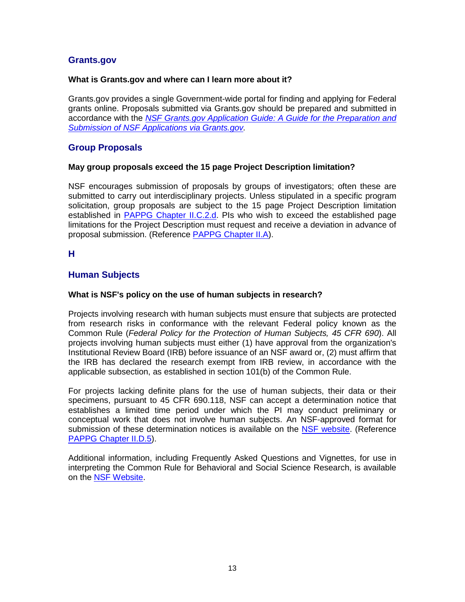## **Grants.gov**

### **What is Grants.gov and where can I learn more about it?**

Grants.gov provides a single Government-wide portal for finding and applying for Federal grants online. Proposals submitted via Grants.gov should be prepared and submitted in accordance with the *[NSF Grants.gov Application Guide: A Guide for the Preparation and](https://www.nsf.gov/pubs/policydocs/grantsgovguide0117.pdf)  [Submission of NSF Applications via Grants.gov.](https://www.nsf.gov/pubs/policydocs/grantsgovguide0117.pdf)*

## **Group Proposals**

### **May group proposals exceed the 15 page Project Description limitation?**

NSF encourages submission of proposals by groups of investigators; often these are submitted to carry out interdisciplinary projects. Unless stipulated in a specific program solicitation, group proposals are subject to the 15 page Project Description limitation established in [PAPPG Chapter II.C.2.d.](https://www.nsf.gov/pubs/policydocs/pappg17_1/pappg_2.jsp#IIC2d) PIs who wish to exceed the established page limitations for the Project Description must request and receive a deviation in advance of proposal submission. (Reference [PAPPG Chapter II.A\)](https://www.nsf.gov/pubs/policydocs/pappg17_1/pappg_2.jsp#IIA).

## **H**

## **Human Subjects**

#### **What is NSF's policy on the use of human subjects in research?**

Projects involving research with human subjects must ensure that subjects are protected from research risks in conformance with the relevant Federal policy known as the Common Rule (*Federal Policy for the Protection of Human Subjects, 45 CFR 690*). All projects involving human subjects must either (1) have approval from the organization's Institutional Review Board (IRB) before issuance of an NSF award or, (2) must affirm that the IRB has declared the research exempt from IRB review, in accordance with the applicable subsection, as established in section 101(b) of the Common Rule.

For projects lacking definite plans for the use of human subjects, their data or their specimens, pursuant to 45 CFR 690.118, NSF can accept a determination notice that establishes a limited time period under which the PI may conduct preliminary or conceptual work that does not involve human subjects. An NSF-approved format for submission of these determination notices is available on the [NSF website.](https://www.nsf.gov/bfa/dias/policy/papp/pappg17_1/45cfr690118_template.pdf) (Reference [PAPPG Chapter II.D.5\)](https://www.nsf.gov/pubs/policydocs/pappg17_1/pappg_2.jsp#IID5).

Additional information, including Frequently Asked Questions and Vignettes, for use in interpreting the Common Rule for Behavioral and Social Science Research, is available on the [NSF Website.](http://www.nsf.gov/bfa/dias/policy/human.jsp)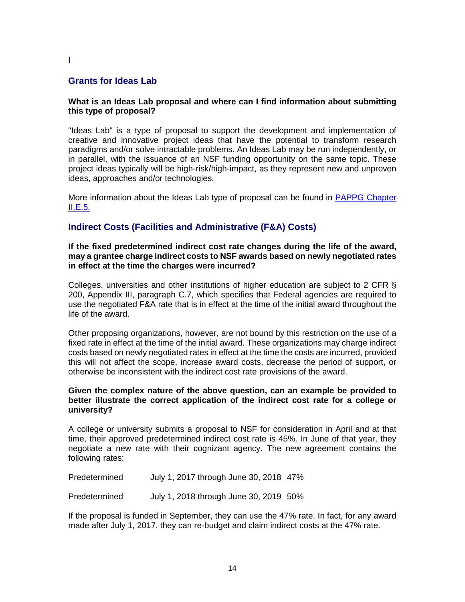## **Grants for Ideas Lab**

#### **What is an Ideas Lab proposal and where can I find information about submitting this type of proposal?**

"Ideas Lab" is a type of proposal to support the development and implementation of creative and innovative project ideas that have the potential to transform research paradigms and/or solve intractable problems. An Ideas Lab may be run independently, or in parallel, with the issuance of an NSF funding opportunity on the same topic. These project ideas typically will be high-risk/high-impact, as they represent new and unproven ideas, approaches and/or technologies.

More information about the Ideas Lab type of proposal can be found in [PAPPG Chapter](https://www.nsf.gov/pubs/policydocs/pappg17_1/pappg_2.jsp#IIE5)  [II.E.5.](https://www.nsf.gov/pubs/policydocs/pappg17_1/pappg_2.jsp#IIE5)

## **Indirect Costs (Facilities and Administrative (F&A) Costs)**

#### **If the fixed predetermined indirect cost rate changes during the life of the award, may a grantee charge indirect costs to NSF awards based on newly negotiated rates in effect at the time the charges were incurred?**

Colleges, universities and other institutions of higher education are subject to 2 CFR § 200, Appendix III, paragraph C.7, which specifies that Federal agencies are required to use the negotiated F&A rate that is in effect at the time of the initial award throughout the life of the award.

Other proposing organizations, however, are not bound by this restriction on the use of a fixed rate in effect at the time of the initial award. These organizations may charge indirect costs based on newly negotiated rates in effect at the time the costs are incurred, provided this will not affect the scope, increase award costs, decrease the period of support, or otherwise be inconsistent with the indirect cost rate provisions of the award.

#### **Given the complex nature of the above question, can an example be provided to better illustrate the correct application of the indirect cost rate for a college or university?**

A college or university submits a proposal to NSF for consideration in April and at that time, their approved predetermined indirect cost rate is 45%. In June of that year, they negotiate a new rate with their cognizant agency. The new agreement contains the following rates:

Predetermined July 1, 2017 through June 30, 2018 47%

Predetermined July 1, 2018 through June 30, 2019 50%

If the proposal is funded in September, they can use the 47% rate. In fact, for any award made after July 1, 2017, they can re-budget and claim indirect costs at the 47% rate.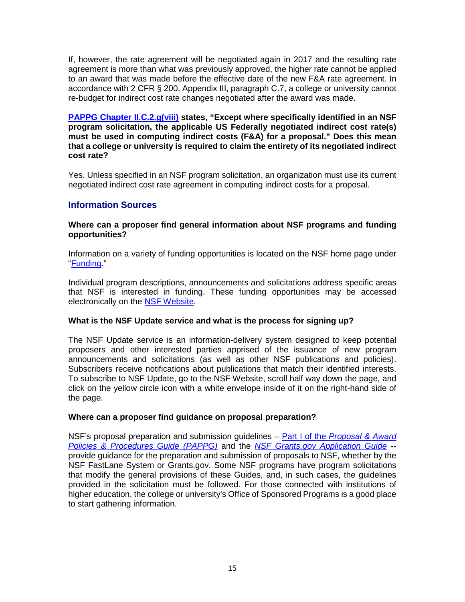If, however, the rate agreement will be negotiated again in 2017 and the resulting rate agreement is more than what was previously approved, the higher rate cannot be applied to an award that was made before the effective date of the new F&A rate agreement. In accordance with 2 CFR § 200, Appendix III, paragraph C.7, a college or university cannot re-budget for indirect cost rate changes negotiated after the award was made.

**[PAPPG Chapter II.C.2.g\(viii\)](https://www.nsf.gov/pubs/policydocs/pappg17_1/pappg_2.jsp#IIC2gviii) states, "Except where specifically identified in an NSF program solicitation, the applicable US Federally negotiated indirect cost rate(s) must be used in computing indirect costs (F&A) for a proposal." Does this mean that a college or university is required to claim the entirety of its negotiated indirect cost rate?**

Yes. Unless specified in an NSF program solicitation, an organization must use its current negotiated indirect cost rate agreement in computing indirect costs for a proposal.

## **Information Sources**

### **Where can a proposer find general information about NSF programs and funding opportunities?**

Information on a variety of funding opportunities is located on the NSF home page under ["Funding.](https://www.nsf.gov/funding/index.jsp)"

Individual program descriptions, announcements and solicitations address specific areas that NSF is interested in funding. These funding opportunities may be accessed electronically on the [NSF Website.](https://www.nsf.gov/funding/azindex.jsp)

### **What is the NSF Update service and what is the process for signing up?**

The NSF Update service is an information-delivery system designed to keep potential proposers and other interested parties apprised of the issuance of new program announcements and solicitations (as well as other NSF publications and policies). Subscribers receive notifications about publications that match their identified interests. To subscribe to NSF Update, go to the NSF Website, scroll half way down the page, and click on the yellow circle icon with a white envelope inside of it on the right-hand side of the page.

### **Where can a proposer find guidance on proposal preparation?**

NSF's proposal preparation and submission guidelines – Part I of the *[Proposal & Award](https://www.nsf.gov/pubs/policydocs/pappg17_1/index.jsp)  [Policies & Procedures Guide](https://www.nsf.gov/pubs/policydocs/pappg17_1/index.jsp) (PAPPG)* and the *[NSF Grants.gov Application Guide](https://www.nsf.gov/pubs/policydocs/grantsgovguide0117.pdf)* - provide guidance for the preparation and submission of proposals to NSF, whether by the NSF FastLane System or Grants.gov. Some NSF programs have program solicitations that modify the general provisions of these Guides, and, in such cases, the guidelines provided in the solicitation must be followed. For those connected with institutions of higher education, the college or university's Office of Sponsored Programs is a good place to start gathering information.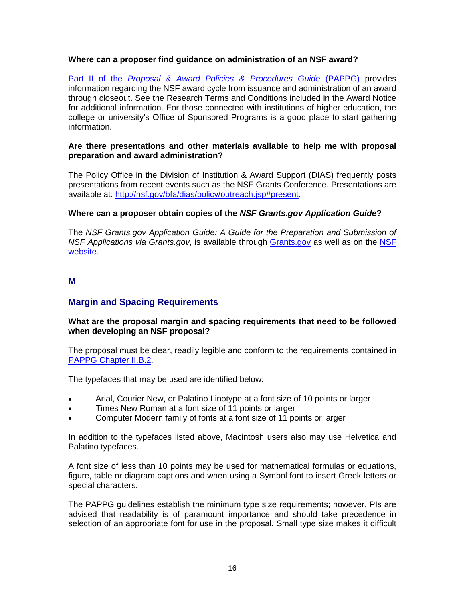### **Where can a proposer find guidance on administration of an NSF award?**

Part II of the *[Proposal & Award Policies & Procedures Guide](https://www.nsf.gov/pubs/policydocs/pappg17_1/index.jsp)* (PAPPG) provides information regarding the NSF award cycle from issuance and administration of an award through closeout. See the Research Terms and Conditions included in the Award Notice for additional information. For those connected with institutions of higher education, the college or university's Office of Sponsored Programs is a good place to start gathering information.

#### **Are there presentations and other materials available to help me with proposal preparation and award administration?**

The Policy Office in the Division of Institution & Award Support (DIAS) frequently posts presentations from recent events such as the NSF Grants Conference. Presentations are available at: [http://nsf.gov/bfa/dias/policy/outreach.jsp#present.](http://nsf.gov/bfa/dias/policy/outreach.jsp#present)

#### **Where can a proposer obtain copies of the** *NSF Grants.gov Application Guide***?**

The *NSF Grants.gov Application Guide: A Guide for the Preparation and Submission of NSF Applications via Grants.gov*, is available through [Grants.gov](http://www.grants.gov/) as well as on the [NSF](https://www.nsf.gov/pubs/policydocs/grantsgovguide0117.pdf)  [website.](https://www.nsf.gov/pubs/policydocs/grantsgovguide0117.pdf)

### **M**

## **Margin and Spacing Requirements**

#### **What are the proposal margin and spacing requirements that need to be followed when developing an NSF proposal?**

The proposal must be clear, readily legible and conform to the requirements contained in [PAPPG Chapter II.B.2.](https://www.nsf.gov/pubs/policydocs/pappg17_1/pappg_2.jsp#IIB2)

The typefaces that may be used are identified below:

- Arial, Courier New, or Palatino Linotype at a font size of 10 points or larger
- Times New Roman at a font size of 11 points or larger
- Computer Modern family of fonts at a font size of 11 points or larger

In addition to the typefaces listed above, Macintosh users also may use Helvetica and Palatino typefaces.

A font size of less than 10 points may be used for mathematical formulas or equations, figure, table or diagram captions and when using a Symbol font to insert Greek letters or special characters.

The PAPPG guidelines establish the minimum type size requirements; however, PIs are advised that readability is of paramount importance and should take precedence in selection of an appropriate font for use in the proposal. Small type size makes it difficult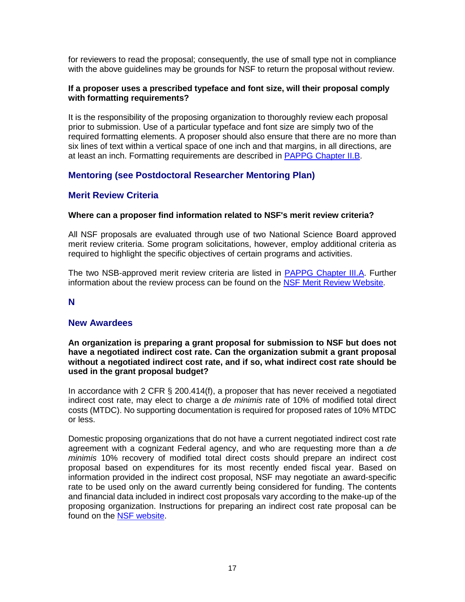for reviewers to read the proposal; consequently, the use of small type not in compliance with the above guidelines may be grounds for NSF to return the proposal without review.

#### **If a proposer uses a prescribed typeface and font size, will their proposal comply with formatting requirements?**

It is the responsibility of the proposing organization to thoroughly review each proposal prior to submission. Use of a particular typeface and font size are simply two of the required formatting elements. A proposer should also ensure that there are no more than six lines of text within a vertical space of one inch and that margins, in all directions, are at least an inch. Formatting requirements are described in PAPPG [Chapter II.B.](https://www.nsf.gov/pubs/policydocs/pappg17_1/pappg_2.jsp#IIB)

## **Mentoring (see Postdoctoral Researcher Mentoring Plan)**

## **Merit Review Criteria**

#### **Where can a proposer find information related to NSF's merit review criteria?**

All NSF proposals are evaluated through use of two National Science Board approved merit review criteria. Some program solicitations, however, employ additional criteria as required to highlight the specific objectives of certain programs and activities.

The two NSB-approved merit review criteria are listed in [PAPPG Chapter III.A.](https://www.nsf.gov/pubs/policydocs/pappg17_1/pappg_3.jsp#IIIA) Further information about the review process can be found on the NSF [Merit Review Website.](http://www.nsf.gov/bfa/dias/policy/merit_review)

### **N**

### **New Awardees**

#### **An organization is preparing a grant proposal for submission to NSF but does not have a negotiated indirect cost rate. Can the organization submit a grant proposal without a negotiated indirect cost rate, and if so, what indirect cost rate should be used in the grant proposal budget?**

In accordance with 2 CFR § 200.414(f), a proposer that has never received a negotiated indirect cost rate, may elect to charge a *de minimis* rate of 10% of modified total direct costs (MTDC). No supporting documentation is required for proposed rates of 10% MTDC or less.

Domestic proposing organizations that do not have a current negotiated indirect cost rate agreement with a cognizant Federal agency, and who are requesting more than a *de minimis* 10% recovery of modified total direct costs should prepare an indirect cost proposal based on expenditures for its most recently ended fiscal year. Based on information provided in the indirect cost proposal, NSF may negotiate an award-specific rate to be used only on the award currently being considered for funding. The contents and financial data included in indirect cost proposals vary according to the make-up of the proposing organization. Instructions for preparing an indirect cost rate proposal can be found on the [NSF website.](http://www.nsf.gov/bfa/dias/caar/docs/idcsubmissions.pdf)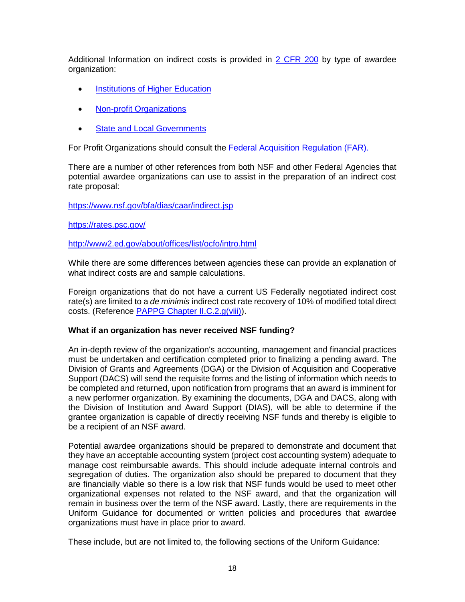Additional Information on indirect costs is provided in [2 CFR 200](http://www.ecfr.gov/cgi-bin/text-idx?tpl=/ecfrbrowse/Title02/2cfr200_main_02.tpl) by type of awardee organization:

- **[Institutions of Higher Education](http://www.ecfr.gov/cgi-bin/text-idx?SID=61c7814db4101f4bfa506b1ed371a58a&mc=true&node=ap2.1.200_1521.iii&rgn=div9)**
- [Non-profit Organizations](http://www.ecfr.gov/cgi-bin/text-idx?SID=61c7814db4101f4bfa506b1ed371a58a&mc=true&node=ap2.1.200_1521.iv&rgn=div9)
- **[State and Local Governments](http://www.ecfr.gov/cgi-bin/text-idx?SID=61c7814db4101f4bfa506b1ed371a58a&mc=true&node=ap2.1.200_1521.v&rgn=div9)**

For Profit Organizations should consult the [Federal Acquisition Regulation \(FAR\).](https://www.acquisition.gov/far/html/FARTOCP31.html)

There are a number of other references from both NSF and other Federal Agencies that potential awardee organizations can use to assist in the preparation of an indirect cost rate proposal:

<https://www.nsf.gov/bfa/dias/caar/indirect.jsp>

<https://rates.psc.gov/>

#### <http://www2.ed.gov/about/offices/list/ocfo/intro.html>

While there are some differences between agencies these can provide an explanation of what indirect costs are and sample calculations.

Foreign organizations that do not have a current US Federally negotiated indirect cost rate(s) are limited to a *de minimis* indirect cost rate recovery of 10% of modified total direct costs. (Reference [PAPPG Chapter II.C.2.g\(viii\)\)](https://www.nsf.gov/pubs/policydocs/pappg17_1/pappg_2.jsp#IIC2gviii).

#### **What if an organization has never received NSF funding?**

An in-depth review of the organization's accounting, management and financial practices must be undertaken and certification completed prior to finalizing a pending award. The Division of Grants and Agreements (DGA) or the Division of Acquisition and Cooperative Support (DACS) will send the requisite forms and the listing of information which needs to be completed and returned, upon notification from programs that an award is imminent for a new performer organization. By examining the documents, DGA and DACS, along with the Division of Institution and Award Support (DIAS), will be able to determine if the grantee organization is capable of directly receiving NSF funds and thereby is eligible to be a recipient of an NSF award.

Potential awardee organizations should be prepared to demonstrate and document that they have an acceptable accounting system (project cost accounting system) adequate to manage cost reimbursable awards. This should include adequate internal controls and segregation of duties. The organization also should be prepared to document that they are financially viable so there is a low risk that NSF funds would be used to meet other organizational expenses not related to the NSF award, and that the organization will remain in business over the term of the NSF award. Lastly, there are requirements in the Uniform Guidance for documented or written policies and procedures that awardee organizations must have in place prior to award.

These include, but are not limited to, the following sections of the Uniform Guidance: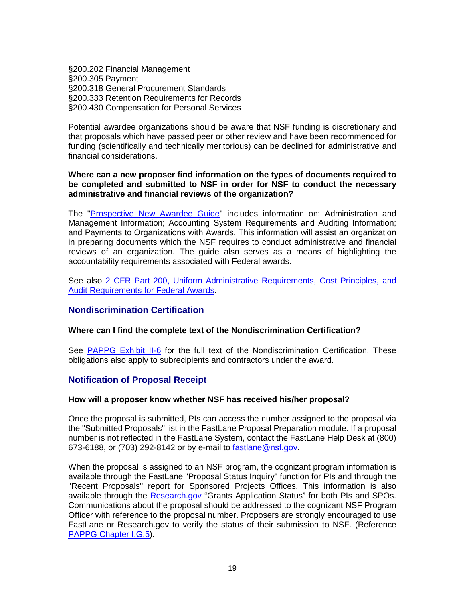§200.202 Financial Management §200.305 Payment §200.318 General Procurement Standards §200.333 Retention Requirements for Records §200.430 Compensation for Personal Services

Potential awardee organizations should be aware that NSF funding is discretionary and that proposals which have passed peer or other review and have been recommended for funding (scientifically and technically meritorious) can be declined for administrative and financial considerations.

#### **Where can a new proposer find information on the types of documents required to be completed and submitted to NSF in order for NSF to conduct the necessary administrative and financial reviews of the organization?**

The ["Prospective New Awardee Guide"](https://www.nsf.gov/bfa/dias/caar/pnag/pnag_jan2017.pdf) includes information on: Administration and Management Information; Accounting System Requirements and Auditing Information; and Payments to Organizations with Awards. This information will assist an organization in preparing documents which the NSF requires to conduct administrative and financial reviews of an organization. The guide also serves as a means of highlighting the accountability requirements associated with Federal awards.

See also [2 CFR Part 200, Uniform Administrative](http://www.ecfr.gov/cgi-bin/text-idx?tpl=/ecfrbrowse/Title02/2cfr200_main_02.tpl) Requirements, Cost Principles, and [Audit Requirements for Federal Awards.](http://www.ecfr.gov/cgi-bin/text-idx?tpl=/ecfrbrowse/Title02/2cfr200_main_02.tpl)

### **Nondiscrimination Certification**

### **Where can I find the complete text of the Nondiscrimination Certification?**

See [PAPPG Exhibit II-6](https://www.nsf.gov/pubs/policydocs/pappg17_1/pappg_2.jsp#2ex6) for the full text of the Nondiscrimination Certification. These obligations also apply to subrecipients and contractors under the award.

### **Notification of Proposal Receipt**

#### **How will a proposer know whether NSF has received his/her proposal?**

Once the proposal is submitted, PIs can access the number assigned to the proposal via the "Submitted Proposals" list in the FastLane Proposal Preparation module. If a proposal number is not reflected in the FastLane System, contact the FastLane Help Desk at (800) 673-6188, or (703) 292-8142 or by e-mail to [fastlane@nsf.gov.](mailto:fastlane@nsf.gov)

When the proposal is assigned to an NSF program, the cognizant program information is available through the FastLane "Proposal Status Inquiry" function for PIs and through the "Recent Proposals" report for Sponsored Projects Offices. This information is also available through the [Research.gov](http://www.research.gov/) "Grants Application Status" for both PIs and SPOs. Communications about the proposal should be addressed to the cognizant NSF Program Officer with reference to the proposal number. Proposers are strongly encouraged to use FastLane or Research.gov to verify the status of their submission to NSF. (Reference [PAPPG Chapter I.G.5\)](https://www.nsf.gov/pubs/policydocs/pappg17_1/pappg_1.jsp#IG5).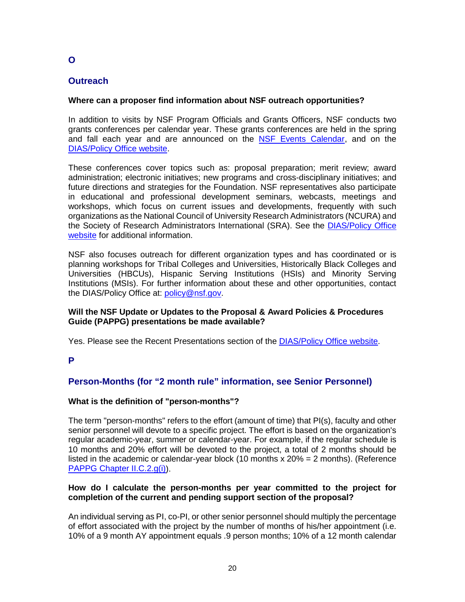# **Outreach**

## **Where can a proposer find information about NSF outreach opportunities?**

In addition to visits by NSF Program Officials and Grants Officers, NSF conducts two grants conferences per calendar year. These grants conferences are held in the spring and fall each year and are announced on the [NSF Events Calendar,](https://nsf.gov/events/) and on the [DIAS/Policy Office website.](http://www.nsf.gov/bfa/dias/policy/outreach.jsp)

These conferences cover topics such as: proposal preparation; merit review; award administration; electronic initiatives; new programs and cross-disciplinary initiatives; and future directions and strategies for the Foundation. NSF representatives also participate in educational and professional development seminars, webcasts, meetings and workshops, which focus on current issues and developments, frequently with such organizations as the National Council of University Research Administrators (NCURA) and the Society of Research Administrators International (SRA). See the [DIAS/Policy Office](http://www.nsf.gov/bfa/dias/policy/index.jsp)  [website](http://www.nsf.gov/bfa/dias/policy/index.jsp) for additional information.

NSF also focuses outreach for different organization types and has coordinated or is planning workshops for Tribal Colleges and Universities, Historically Black Colleges and Universities (HBCUs), Hispanic Serving Institutions (HSIs) and Minority Serving Institutions (MSIs). For further information about these and other opportunities, contact the DIAS/Policy Office at: [policy@nsf.gov.](mailto:policy@nsf.gov)

#### **Will the NSF Update or Updates to the Proposal & Award Policies & Procedures Guide (PAPPG) presentations be made available?**

Yes. Please see the Recent Presentations section of the [DIAS/Policy Office website.](http://www.nsf.gov/bfa/dias/policy/outreach.jsp#present)

**P**

# **Person-Months (for "2 month rule" information, see Senior Personnel)**

### **What is the definition of "person-months"?**

The term "person-months" refers to the effort (amount of time) that PI(s), faculty and other senior personnel will devote to a specific project. The effort is based on the organization's regular academic-year, summer or calendar-year. For example, if the regular schedule is 10 months and 20% effort will be devoted to the project, a total of 2 months should be listed in the academic or calendar-year block (10 months x 20% = 2 months). (Reference [PAPPG Chapter II.C.2.g\(i\)\)](https://www.nsf.gov/pubs/policydocs/pappg17_1/pappg_2.jsp#IIC2gi).

### **How do I calculate the person-months per year committed to the project for completion of the current and pending support section of the proposal?**

An individual serving as PI, co-PI, or other senior personnel should multiply the percentage of effort associated with the project by the number of months of his/her appointment (i.e. 10% of a 9 month AY appointment equals .9 person months; 10% of a 12 month calendar

**O**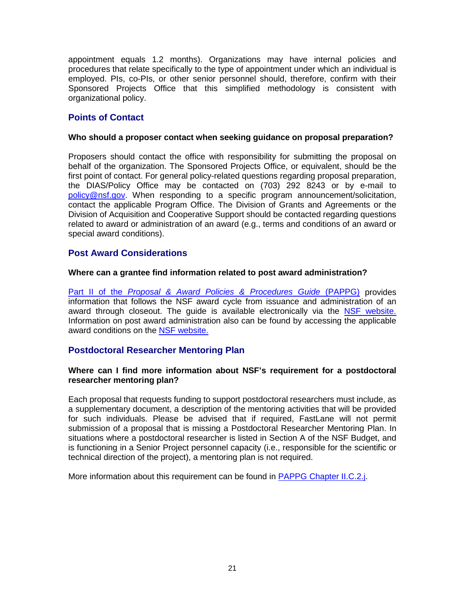appointment equals 1.2 months). Organizations may have internal policies and procedures that relate specifically to the type of appointment under which an individual is employed. PIs, co-PIs, or other senior personnel should, therefore, confirm with their Sponsored Projects Office that this simplified methodology is consistent with organizational policy.

## **Points of Contact**

### **Who should a proposer contact when seeking guidance on proposal preparation?**

Proposers should contact the office with responsibility for submitting the proposal on behalf of the organization. The Sponsored Projects Office, or equivalent, should be the first point of contact. For general policy-related questions regarding proposal preparation, the DIAS/Policy Office may be contacted on (703) 292 8243 or by e-mail to [policy@nsf.gov.](mailto:policy@nsf.gov) When responding to a specific program announcement/solicitation, contact the applicable Program Office. The Division of Grants and Agreements or the Division of Acquisition and Cooperative Support should be contacted regarding questions related to award or administration of an award (e.g., terms and conditions of an award or special award conditions).

## **Post Award Considerations**

#### **Where can a grantee find information related to post award administration?**

Part II of the *[Proposal & Award Policies & Procedures Guide](https://www.nsf.gov/pubs/policydocs/pappg17_1/index.jsp)* (PAPPG) provides information that follows the NSF award cycle from issuance and administration of an award through closeout. The guide is available electronically via the [NSF website.](https://www.nsf.gov/bfa/dias/policy/) Information on post award administration also can be found by accessing the applicable award conditions on the [NSF website.](https://www.nsf.gov/awards/managing/award_conditions.jsp?org=NSF)

## **Postdoctoral Researcher Mentoring Plan**

#### **Where can I find more information about NSF's requirement for a postdoctoral researcher mentoring plan?**

Each proposal that requests funding to support postdoctoral researchers must include, as a supplementary document, a description of the mentoring activities that will be provided for such individuals. Please be advised that if required, FastLane will not permit submission of a proposal that is missing a Postdoctoral Researcher Mentoring Plan. In situations where a postdoctoral researcher is listed in Section A of the NSF Budget, and is functioning in a Senior Project personnel capacity (i.e., responsible for the scientific or technical direction of the project), a mentoring plan is not required.

More information about this requirement can be found in **PAPPG Chapter II.C.2.j**.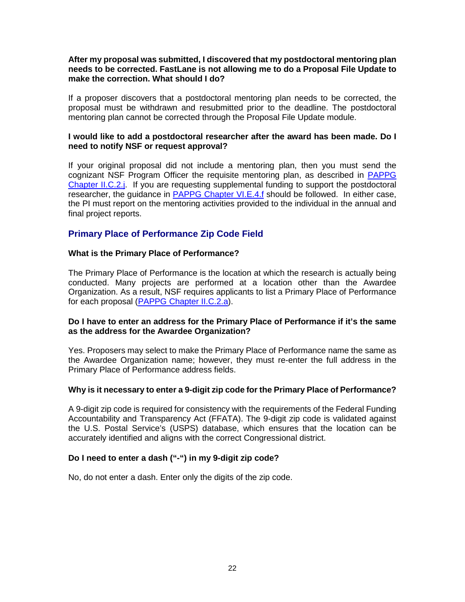#### **After my proposal was submitted, I discovered that my postdoctoral mentoring plan needs to be corrected. FastLane is not allowing me to do a Proposal File Update to make the correction. What should I do?**

If a proposer discovers that a postdoctoral mentoring plan needs to be corrected, the proposal must be withdrawn and resubmitted prior to the deadline. The postdoctoral mentoring plan cannot be corrected through the Proposal File Update module.

#### **I would like to add a postdoctoral researcher after the award has been made. Do I need to notify NSF or request approval?**

If your original proposal did not include a mentoring plan, then you must send the cognizant NSF Program Officer the requisite mentoring plan, as described in [PAPPG](https://www.nsf.gov/pubs/policydocs/pappg17_1/pappg_2.jsp#IIC2j)  [Chapter II.C.2.j.](https://www.nsf.gov/pubs/policydocs/pappg17_1/pappg_2.jsp#IIC2j) If you are requesting supplemental funding to support the postdoctoral researcher, the guidance in [PAPPG Chapter VI.E.4.f](https://www.nsf.gov/pubs/policydocs/pappg17_1/pappg_6.jsp#VIE4) should be followed. In either case, the PI must report on the mentoring activities provided to the individual in the annual and final project reports.

## **Primary Place of Performance Zip Code Field**

### **What is the Primary Place of Performance?**

The Primary Place of Performance is the location at which the research is actually being conducted. Many projects are performed at a location other than the Awardee Organization. As a result, NSF requires applicants to list a Primary Place of Performance for each proposal [\(PAPPG Chapter II.C.2.a\)](https://www.nsf.gov/pubs/policydocs/pappg17_1/pappg_2.jsp#IIC2a).

#### **Do I have to enter an address for the Primary Place of Performance if it's the same as the address for the Awardee Organization?**

Yes. Proposers may select to make the Primary Place of Performance name the same as the Awardee Organization name; however, they must re-enter the full address in the Primary Place of Performance address fields.

#### **Why is it necessary to enter a 9-digit zip code for the Primary Place of Performance?**

A 9-digit zip code is required for consistency with the requirements of the Federal Funding Accountability and Transparency Act (FFATA). The 9-digit zip code is validated against the U.S. Postal Service's (USPS) database, which ensures that the location can be accurately identified and aligns with the correct Congressional district.

### **Do I need to enter a dash ("-") in my 9-digit zip code?**

No, do not enter a dash. Enter only the digits of the zip code.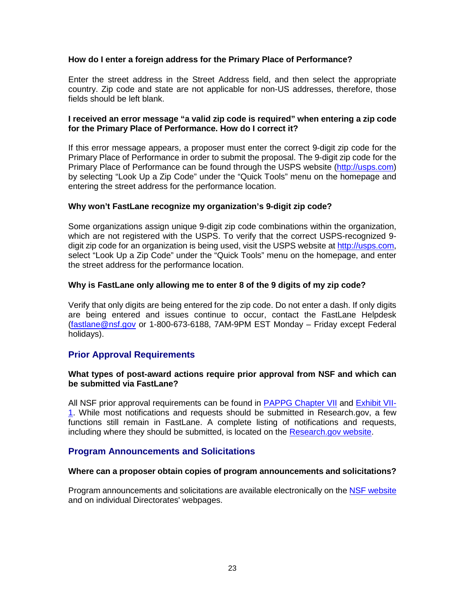### **How do I enter a foreign address for the Primary Place of Performance?**

Enter the street address in the Street Address field, and then select the appropriate country. Zip code and state are not applicable for non-US addresses, therefore, those fields should be left blank.

#### **I received an error message "a valid zip code is required" when entering a zip code for the Primary Place of Performance. How do I correct it?**

If this error message appears, a proposer must enter the correct 9-digit zip code for the Primary Place of Performance in order to submit the proposal. The 9-digit zip code for the Primary Place of Performance can be found through the USPS website [\(http://usps.com\)](http://usps.com/) by selecting "Look Up a Zip Code" under the "Quick Tools" menu on the homepage and entering the street address for the performance location.

#### **Why won't FastLane recognize my organization's 9-digit zip code?**

Some organizations assign unique 9-digit zip code combinations within the organization, which are not registered with the USPS. To verify that the correct USPS-recognized 9 digit zip code for an organization is being used, visit the USPS website at [http://usps.com,](http://usps.com/) select "Look Up a Zip Code" under the "Quick Tools" menu on the homepage, and enter the street address for the performance location.

#### **Why is FastLane only allowing me to enter 8 of the 9 digits of my zip code?**

Verify that only digits are being entered for the zip code. Do not enter a dash. If only digits are being entered and issues continue to occur, contact the FastLane Helpdesk [\(fastlane@nsf.gov](mailto:fastlane@nsf.gov) or 1-800-673-6188, 7AM-9PM EST Monday – Friday except Federal holidays).

### **Prior Approval Requirements**

#### **What types of post-award actions require prior approval from NSF and which can be submitted via FastLane?**

All NSF prior approval requirements can be found in [PAPPG Chapter VII](https://www.nsf.gov/pubs/policydocs/pappg17_1/pappg_7.jsp) and [Exhibit VII-](https://www.nsf.gov/pubs/policydocs/pappg17_1/pappg_7ex1.pdf)[1.](https://www.nsf.gov/pubs/policydocs/pappg17_1/pappg_7ex1.pdf) While most notifications and requests should be submitted in Research.gov, a few functions still remain in FastLane. A complete listing of notifications and requests, including where they should be submitted, is located on the [Research.gov website.](https://www.research.gov/research-portal/appmanager/base/desktop?_nfpb=true&_pageLabel=research_node_display&_nodePath=/researchGov/Service/Desktop/NotificationRequest.html)

### **Program Announcements and Solicitations**

#### **Where can a proposer obtain copies of program announcements and solicitations?**

Program announcements and solicitations are available electronically on the [NSF website](https://www.nsf.gov/funding/index.jsp) and on individual Directorates' webpages.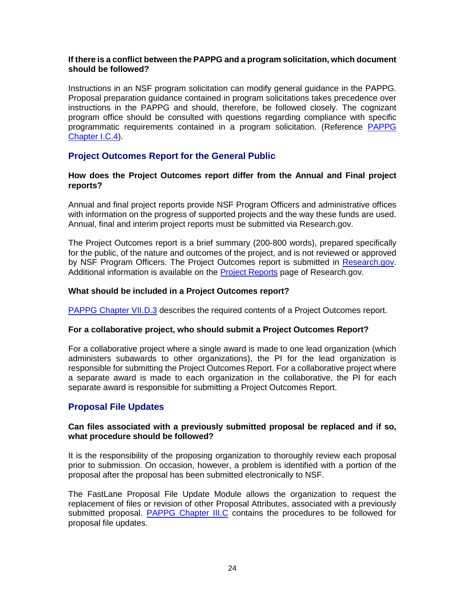#### **If there is a conflict between the PAPPG and a program solicitation, which document should be followed?**

Instructions in an NSF program solicitation can modify general guidance in the PAPPG. Proposal preparation guidance contained in program solicitations takes precedence over instructions in the PAPPG and should, therefore, be followed closely. The cognizant program office should be consulted with questions regarding compliance with specific programmatic requirements contained in a program solicitation. (Reference [PAPPG](https://www.nsf.gov/pubs/policydocs/pappg17_1/pappg_1.jsp#IC4)  [Chapter I.C.4\)](https://www.nsf.gov/pubs/policydocs/pappg17_1/pappg_1.jsp#IC4).

## **Project Outcomes Report for the General Public**

#### **How does the Project Outcomes report differ from the Annual and Final project reports?**

Annual and final project reports provide NSF Program Officers and administrative offices with information on the progress of supported projects and the way these funds are used. Annual, final and interim project reports must be submitted via Research.gov.

The Project Outcomes report is a brief summary (200-800 words), prepared specifically for the public, of the nature and outcomes of the project, and is not reviewed or approved by NSF Program Officers. The Project Outcomes report is submitted in Research.gov. Additional information is available on the [Project Reports](http://www.research.gov/research-portal/appmanager/base/desktop?_nfpb=true&_pageLabel=research_node_display&_nodePath=/researchGov/Service/Desktop/PublicOutcomesReport.html) page of Research.gov.

### **What should be included in a Project Outcomes report?**

[PAPPG Chapter VII.D.3](https://www.nsf.gov/pubs/policydocs/pappg17_1/pappg_7.jsp#VIID3) describes the required contents of a Project Outcomes report.

### **For a collaborative project, who should submit a Project Outcomes Report?**

For a collaborative project where a single award is made to one lead organization (which administers subawards to other organizations), the PI for the lead organization is responsible for submitting the Project Outcomes Report. For a collaborative project where a separate award is made to each organization in the collaborative, the PI for each separate award is responsible for submitting a Project Outcomes Report.

## **Proposal File Updates**

#### **Can files associated with a previously submitted proposal be replaced and if so, what procedure should be followed?**

It is the responsibility of the proposing organization to thoroughly review each proposal prior to submission. On occasion, however, a problem is identified with a portion of the proposal after the proposal has been submitted electronically to NSF.

The FastLane Proposal File Update Module allows the organization to request the replacement of files or revision of other Proposal Attributes, associated with a previously submitted proposal. [PAPPG Chapter III.C](https://www.nsf.gov/pubs/policydocs/pappg17_1/pappg_3.jsp#IIIC) contains the procedures to be followed for proposal file updates.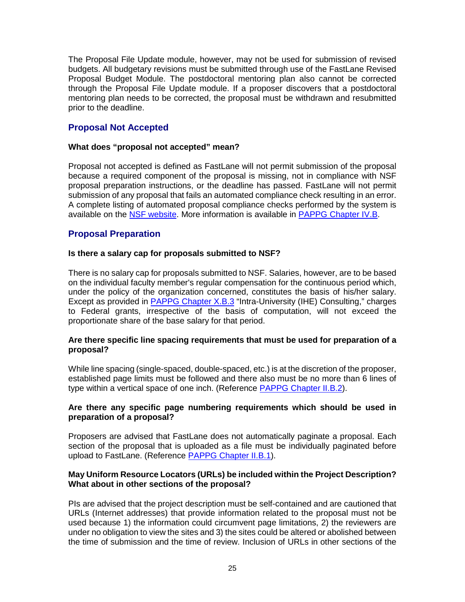The Proposal File Update module, however, may not be used for submission of revised budgets. All budgetary revisions must be submitted through use of the FastLane Revised Proposal Budget Module. The postdoctoral mentoring plan also cannot be corrected through the Proposal File Update module. If a proposer discovers that a postdoctoral mentoring plan needs to be corrected, the proposal must be withdrawn and resubmitted prior to the deadline.

## **Proposal Not Accepted**

### **What does "proposal not accepted" mean?**

Proposal not accepted is defined as FastLane will not permit submission of the proposal because a required component of the proposal is missing, not in compliance with NSF proposal preparation instructions, or the deadline has passed. FastLane will not permit submission of any proposal that fails an automated compliance check resulting in an error. A complete listing of automated proposal compliance checks performed by the system is available on the [NSF website.](https://www.nsf.gov/bfa/dias/policy/autocompliance.jsp) More information is available in [PAPPG Chapter IV.B.](https://www.nsf.gov/pubs/policydocs/pappg17_1/pappg_4.jsp#IVB)

## **Proposal Preparation**

#### **Is there a salary cap for proposals submitted to NSF?**

There is no salary cap for proposals submitted to NSF. Salaries, however, are to be based on the individual faculty member's regular compensation for the continuous period which, under the policy of the organization concerned, constitutes the basis of his/her salary. Except as provided in [PAPPG Chapter X.B.3](https://www.nsf.gov/pubs/policydocs/pappg17_1/pappg_10.jsp#XB3) "Intra-University (IHE) Consulting," charges to Federal grants, irrespective of the basis of computation, will not exceed the proportionate share of the base salary for that period.

#### **Are there specific line spacing requirements that must be used for preparation of a proposal?**

While line spacing (single-spaced, double-spaced, etc.) is at the discretion of the proposer, established page limits must be followed and there also must be no more than 6 lines of type within a vertical space of one inch. (Reference [PAPPG Chapter II.B.2\)](https://www.nsf.gov/pubs/policydocs/pappg17_1/pappg_2.jsp#IIB2).

#### **Are there any specific page numbering requirements which should be used in preparation of a proposal?**

Proposers are advised that FastLane does not automatically paginate a proposal. Each section of the proposal that is uploaded as a file must be individually paginated before upload to FastLane. (Reference [PAPPG Chapter II.B.1\)](https://www.nsf.gov/pubs/policydocs/pappg17_1/pappg_2.jsp#IIB1).

#### **May Uniform Resource Locators (URLs) be included within the Project Description? What about in other sections of the proposal?**

PIs are advised that the project description must be self-contained and are cautioned that URLs (Internet addresses) that provide information related to the proposal must not be used because 1) the information could circumvent page limitations, 2) the reviewers are under no obligation to view the sites and 3) the sites could be altered or abolished between the time of submission and the time of review. Inclusion of URLs in other sections of the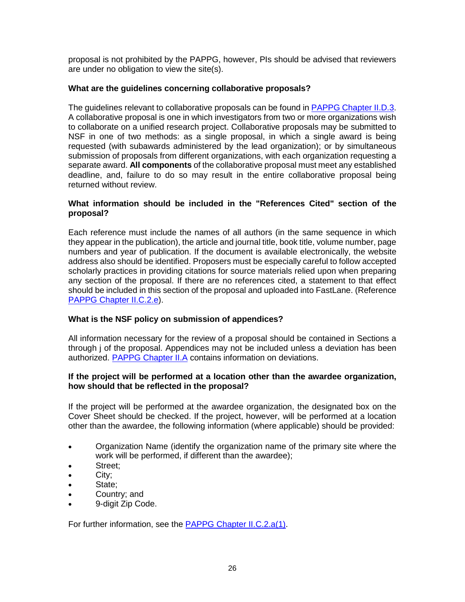proposal is not prohibited by the PAPPG, however, PIs should be advised that reviewers are under no obligation to view the site(s).

### **What are the guidelines concerning collaborative proposals?**

The guidelines relevant to collaborative proposals can be found in [PAPPG Chapter II.D.3.](https://www.nsf.gov/pubs/policydocs/pappg17_1/pappg_2.jsp#IID3) A collaborative proposal is one in which investigators from two or more organizations wish to collaborate on a unified research project. Collaborative proposals may be submitted to NSF in one of two methods: as a single proposal, in which a single award is being requested (with subawards administered by the lead organization); or by simultaneous submission of proposals from different organizations, with each organization requesting a separate award. **All components** of the collaborative proposal must meet any established deadline, and, failure to do so may result in the entire collaborative proposal being returned without review.

### **What information should be included in the "References Cited" section of the proposal?**

Each reference must include the names of all authors (in the same sequence in which they appear in the publication), the article and journal title, book title, volume number, page numbers and year of publication. If the document is available electronically, the website address also should be identified. Proposers must be especially careful to follow accepted scholarly practices in providing citations for source materials relied upon when preparing any section of the proposal. If there are no references cited, a statement to that effect should be included in this section of the proposal and uploaded into FastLane. (Reference [PAPPG Chapter II.C.2.e\)](https://www.nsf.gov/pubs/policydocs/pappg17_1/pappg_2.jsp#IIC2e).

### **What is the NSF policy on submission of appendices?**

All information necessary for the review of a proposal should be contained in Sections a through j of the proposal. Appendices may not be included unless a deviation has been authorized. [PAPPG Chapter II.A](https://www.nsf.gov/pubs/policydocs/pappg17_1/pappg_2.jsp#IIA) contains information on deviations.

#### **If the project will be performed at a location other than the awardee organization, how should that be reflected in the proposal?**

If the project will be performed at the awardee organization, the designated box on the Cover Sheet should be checked. If the project, however, will be performed at a location other than the awardee, the following information (where applicable) should be provided:

- Organization Name (identify the organization name of the primary site where the work will be performed, if different than the awardee);
- Street:
- City;
- State;
- Country; and
- 9-digit Zip Code.

For further information, see the [PAPPG Chapter II.C.2.a\(1\).](https://www.nsf.gov/pubs/policydocs/pappg17_1/pappg_2.jsp#IIC2a)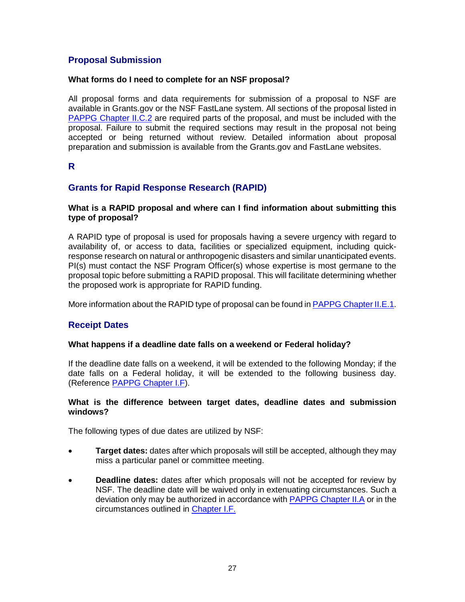## **Proposal Submission**

### **What forms do I need to complete for an NSF proposal?**

All proposal forms and data requirements for submission of a proposal to NSF are available in Grants.gov or the NSF FastLane system. All sections of the proposal listed in [PAPPG Chapter II.C.2](https://www.nsf.gov/pubs/policydocs/pappg17_1/pappg_2.jsp#IIC2) are required parts of the proposal, and must be included with the proposal. Failure to submit the required sections may result in the proposal not being accepted or being returned without review. Detailed information about proposal preparation and submission is available from the Grants.gov and FastLane websites.

## **R**

## **Grants for Rapid Response Research (RAPID)**

### **What is a RAPID proposal and where can I find information about submitting this type of proposal?**

A RAPID type of proposal is used for proposals having a severe urgency with regard to availability of, or access to data, facilities or specialized equipment, including quickresponse research on natural or anthropogenic disasters and similar unanticipated events. PI(s) must contact the NSF Program Officer(s) whose expertise is most germane to the proposal topic before submitting a RAPID proposal. This will facilitate determining whether the proposed work is appropriate for RAPID funding.

More information about the RAPID type of proposal can be found in PAPPG [Chapter II.E.1.](https://www.nsf.gov/pubs/policydocs/pappg17_1/pappg_2.jsp#IIE1)

## **Receipt Dates**

#### **What happens if a deadline date falls on a weekend or Federal holiday?**

If the deadline date falls on a weekend, it will be extended to the following Monday; if the date falls on a Federal holiday, it will be extended to the following business day. (Reference [PAPPG Chapter I.F\)](https://www.nsf.gov/pubs/policydocs/pappg17_1/pappg_1.jsp#IF).

#### **What is the difference between target dates, deadline dates and submission windows?**

The following types of due dates are utilized by NSF:

- **Target dates:** dates after which proposals will still be accepted, although they may miss a particular panel or committee meeting.
- **Deadline dates:** dates after which proposals will not be accepted for review by NSF. The deadline date will be waived only in extenuating circumstances. Such a deviation only may be authorized in accordance with [PAPPG Chapter II.A](https://www.nsf.gov/pubs/policydocs/pappg17_1/pappg_2.jsp#IIA) or in the circumstances outlined in [Chapter I.F.](https://www.nsf.gov/pubs/policydocs/pappg17_1/pappg_1.jsp#IF)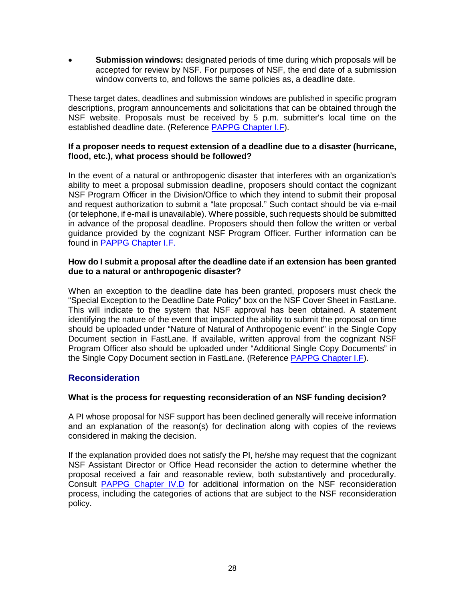• **Submission windows:** designated periods of time during which proposals will be accepted for review by NSF. For purposes of NSF, the end date of a submission window converts to, and follows the same policies as, a deadline date.

These target dates, deadlines and submission windows are published in specific program descriptions, program announcements and solicitations that can be obtained through the NSF website. Proposals must be received by 5 p.m. submitter's local time on the established deadline date. (Reference [PAPPG Chapter I.F\)](https://www.nsf.gov/pubs/policydocs/pappg17_1/pappg_1.jsp#IF).

### **If a proposer needs to request extension of a deadline due to a disaster (hurricane, flood, etc.), what process should be followed?**

In the event of a natural or anthropogenic disaster that interferes with an organization's ability to meet a proposal submission deadline, proposers should contact the cognizant NSF Program Officer in the Division/Office to which they intend to submit their proposal and request authorization to submit a "late proposal." Such contact should be via e-mail (or telephone, if e-mail is unavailable). Where possible, such requests should be submitted in advance of the proposal deadline. Proposers should then follow the written or verbal guidance provided by the cognizant NSF Program Officer. Further information can be found in [PAPPG Chapter I.F.](https://www.nsf.gov/pubs/policydocs/pappg17_1/pappg_1.jsp#IF)

#### **How do I submit a proposal after the deadline date if an extension has been granted due to a natural or anthropogenic disaster?**

When an exception to the deadline date has been granted, proposers must check the "Special Exception to the Deadline Date Policy" box on the NSF Cover Sheet in FastLane. This will indicate to the system that NSF approval has been obtained. A statement identifying the nature of the event that impacted the ability to submit the proposal on time should be uploaded under "Nature of Natural of Anthropogenic event" in the Single Copy Document section in FastLane. If available, written approval from the cognizant NSF Program Officer also should be uploaded under "Additional Single Copy Documents" in the Single Copy Document section in FastLane. (Reference [PAPPG Chapter I.F\)](https://www.nsf.gov/pubs/policydocs/pappg17_1/pappg_1.jsp#IF).

## **Reconsideration**

## **What is the process for requesting reconsideration of an NSF funding decision?**

A PI whose proposal for NSF support has been declined generally will receive information and an explanation of the reason(s) for declination along with copies of the reviews considered in making the decision.

If the explanation provided does not satisfy the PI, he/she may request that the cognizant NSF Assistant Director or Office Head reconsider the action to determine whether the proposal received a fair and reasonable review, both substantively and procedurally. Consult [PAPPG Chapter IV.D](https://www.nsf.gov/pubs/policydocs/pappg17_1/pappg_4.jsp#IVD) for additional information on the NSF reconsideration process, including the categories of actions that are subject to the NSF reconsideration policy.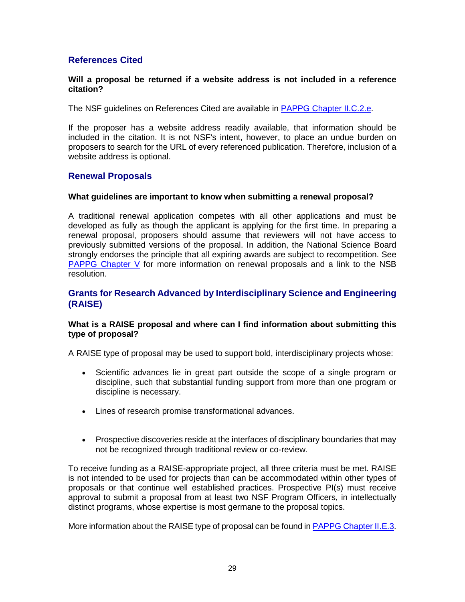## **References Cited**

#### **Will a proposal be returned if a website address is not included in a reference citation?**

The NSF guidelines on References Cited are available in **PAPPG Chapter II.C.2.e.** 

If the proposer has a website address readily available, that information should be included in the citation. It is not NSF's intent, however, to place an undue burden on proposers to search for the URL of every referenced publication. Therefore, inclusion of a website address is optional.

### **Renewal Proposals**

#### **What guidelines are important to know when submitting a renewal proposal?**

A traditional renewal application competes with all other applications and must be developed as fully as though the applicant is applying for the first time. In preparing a renewal proposal, proposers should assume that reviewers will not have access to previously submitted versions of the proposal. In addition, the National Science Board strongly endorses the principle that all expiring awards are subject to recompetition. See [PAPPG Chapter V](https://www.nsf.gov/pubs/policydocs/pappg17_1/pappg_5.jsp) for more information on renewal proposals and a link to the NSB resolution.

## **Grants for Research Advanced by Interdisciplinary Science and Engineering (RAISE)**

#### **What is a RAISE proposal and where can I find information about submitting this type of proposal?**

A RAISE type of proposal may be used to support bold, interdisciplinary projects whose:

- Scientific advances lie in great part outside the scope of a single program or discipline, such that substantial funding support from more than one program or discipline is necessary.
- Lines of research promise transformational advances.
- Prospective discoveries reside at the interfaces of disciplinary boundaries that may not be recognized through traditional review or co-review.

To receive funding as a RAISE-appropriate project, all three criteria must be met. RAISE is not intended to be used for projects than can be accommodated within other types of proposals or that continue well established practices. Prospective PI(s) must receive approval to submit a proposal from at least two NSF Program Officers, in intellectually distinct programs, whose expertise is most germane to the proposal topics.

More information about the RAISE type of proposal can be found i[n PAPPG Chapter II.E.3.](https://www.nsf.gov/pubs/policydocs/pappg17_1/pappg_2.jsp#IIE3)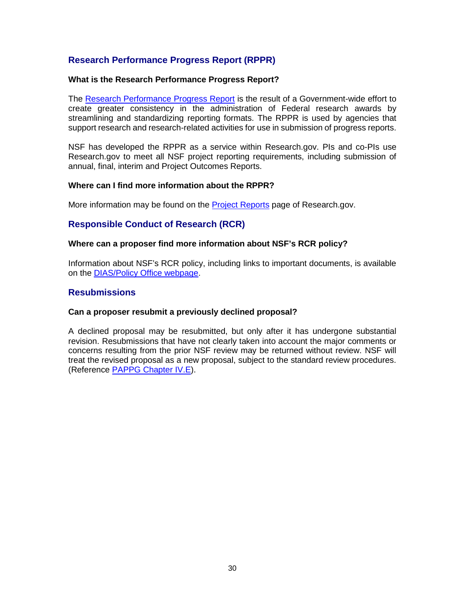## **Research Performance Progress Report (RPPR)**

#### **What is the Research Performance Progress Report?**

The [Research Performance Progress Report](http://www.nsf.gov/bfa/dias/policy/rppr/index.jsp) is the result of a Government-wide effort to create greater consistency in the administration of Federal research awards by streamlining and standardizing reporting formats. The RPPR is used by agencies that support research and research-related activities for use in submission of progress reports.

NSF has developed the RPPR as a service within Research.gov. PIs and co-PIs use Research.gov to meet all NSF project reporting requirements, including submission of annual, final, interim and Project Outcomes Reports.

#### **Where can I find more information about the RPPR?**

More information may be found on the [Project Reports](http://www.research.gov/research-portal/appmanager/base/desktop?_nfpb=true&_pageLabel=research_node_display&_nodePath=/researchGov/Service/Desktop/PublicOutcomesReport.html) page of Research.gov.

## **Responsible Conduct of Research (RCR)**

#### **Where can a proposer find more information about NSF's RCR policy?**

Information about NSF's RCR policy, including links to important documents, is available on the [DIAS/Policy Office webpage.](http://www.nsf.gov/bfa/dias/policy/rcr.jsp)

### **Resubmissions**

#### **Can a proposer resubmit a previously declined proposal?**

A declined proposal may be resubmitted, but only after it has undergone substantial revision. Resubmissions that have not clearly taken into account the major comments or concerns resulting from the prior NSF review may be returned without review. NSF will treat the revised proposal as a new proposal, subject to the standard review procedures. (Reference [PAPPG Chapter IV.E\)](https://www.nsf.gov/pubs/policydocs/pappg17_1/pappg_4.jsp#IVE).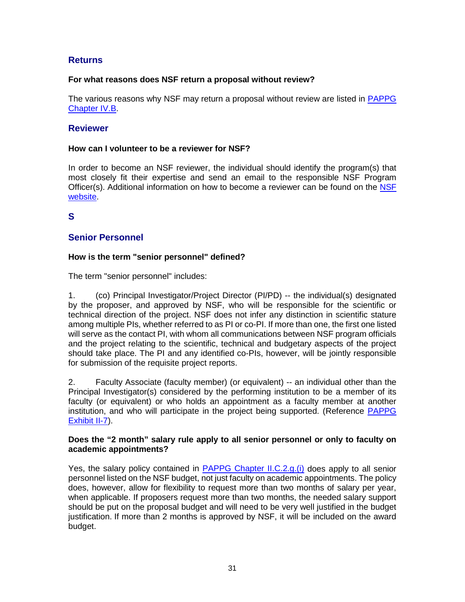## **Returns**

## **For what reasons does NSF return a proposal without review?**

The various reasons why NSF may return a proposal without review are listed in [PAPPG](https://www.nsf.gov/pubs/policydocs/pappg17_1/pappg_4.jsp#IVB)  [Chapter IV.B.](https://www.nsf.gov/pubs/policydocs/pappg17_1/pappg_4.jsp#IVB)

## **Reviewer**

### **How can I volunteer to be a reviewer for NSF?**

In order to become an NSF reviewer, the individual should identify the program(s) that most closely fit their expertise and send an email to the responsible NSF Program Officer(s). Additional information on how to become a reviewer can be found on the [NSF](https://www.nsf.gov/bfa/dias/policy/merit_review/reviewer.jsp)  [website.](https://www.nsf.gov/bfa/dias/policy/merit_review/reviewer.jsp)

## **S**

## **Senior Personnel**

### **How is the term "senior personnel" defined?**

The term "senior personnel" includes:

1. (co) Principal Investigator/Project Director (PI/PD) -- the individual(s) designated by the proposer, and approved by NSF, who will be responsible for the scientific or technical direction of the project. NSF does not infer any distinction in scientific stature among multiple PIs, whether referred to as PI or co-PI. If more than one, the first one listed will serve as the contact PI, with whom all communications between NSF program officials and the project relating to the scientific, technical and budgetary aspects of the project should take place. The PI and any identified co-PIs, however, will be jointly responsible for submission of the requisite project reports.

2. Faculty Associate (faculty member) (or equivalent) -- an individual other than the Principal Investigator(s) considered by the performing institution to be a member of its faculty (or equivalent) or who holds an appointment as a faculty member at another institution, and who will participate in the project being supported. (Reference [PAPPG](https://www.nsf.gov/pubs/policydocs/pappg17_1/pappg_2.jsp#2ex7)  [Exhibit II-7\)](https://www.nsf.gov/pubs/policydocs/pappg17_1/pappg_2.jsp#2ex7).

#### **Does the "2 month" salary rule apply to all senior personnel or only to faculty on academic appointments?**

Yes, the salary policy contained in [PAPPG Chapter II.C.2.g.\(i\)](https://www.nsf.gov/pubs/policydocs/pappg17_1/pappg_2.jsp#IIC2gi) does apply to all senior personnel listed on the NSF budget, not just faculty on academic appointments. The policy does, however, allow for flexibility to request more than two months of salary per year, when applicable. If proposers request more than two months, the needed salary support should be put on the proposal budget and will need to be very well justified in the budget justification. If more than 2 months is approved by NSF, it will be included on the award budget.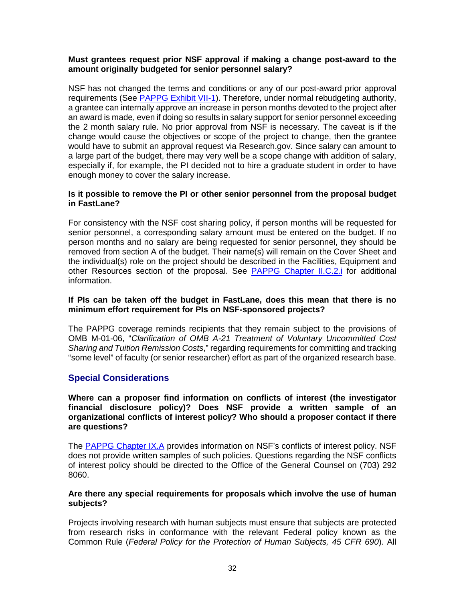#### **Must grantees request prior NSF approval if making a change post-award to the amount originally budgeted for senior personnel salary?**

NSF has not changed the terms and conditions or any of our post-award prior approval requirements (See [PAPPG Exhibit VII-1\)](https://www.nsf.gov/pubs/policydocs/pappg17_1/pappg_7ex1.pdf). Therefore, under normal rebudgeting authority, a grantee can internally approve an increase in person months devoted to the project after an award is made, even if doing so results in salary support for senior personnel exceeding the 2 month salary rule. No prior approval from NSF is necessary. The caveat is if the change would cause the objectives or scope of the project to change, then the grantee would have to submit an approval request via Research.gov. Since salary can amount to a large part of the budget, there may very well be a scope change with addition of salary, especially if, for example, the PI decided not to hire a graduate student in order to have enough money to cover the salary increase.

#### **Is it possible to remove the PI or other senior personnel from the proposal budget in FastLane?**

For consistency with the NSF cost sharing policy, if person months will be requested for senior personnel, a corresponding salary amount must be entered on the budget. If no person months and no salary are being requested for senior personnel, they should be removed from section A of the budget. Their name(s) will remain on the Cover Sheet and the individual(s) role on the project should be described in the Facilities, Equipment and other Resources section of the proposal. See [PAPPG Chapter II.C.2.i](https://www.nsf.gov/pubs/policydocs/pappg17_1/pappg_2.jsp#IIC2i) for additional information.

#### **If PIs can be taken off the budget in FastLane, does this mean that there is no minimum effort requirement for PIs on NSF-sponsored projects?**

The PAPPG coverage reminds recipients that they remain subject to the provisions of OMB M-01-06, "*Clarification of OMB A-21 Treatment of Voluntary Uncommitted Cost Sharing and Tuition Remission Costs*," regarding requirements for committing and tracking "some level" of faculty (or senior researcher) effort as part of the organized research base.

## **Special Considerations**

**Where can a proposer find information on conflicts of interest (the investigator financial disclosure policy)? Does NSF provide a written sample of an organizational conflicts of interest policy? Who should a proposer contact if there are questions?**

The [PAPPG Chapter IX.A](https://www.nsf.gov/pubs/policydocs/pappg17_1/pappg_9.jsp#IXA) provides information on NSF's conflicts of interest policy. NSF does not provide written samples of such policies. Questions regarding the NSF conflicts of interest policy should be directed to the Office of the General Counsel on (703) 292 8060.

#### **Are there any special requirements for proposals which involve the use of human subjects?**

Projects involving research with human subjects must ensure that subjects are protected from research risks in conformance with the relevant Federal policy known as the Common Rule (*Federal Policy for the Protection of Human Subjects, 45 CFR 690*). All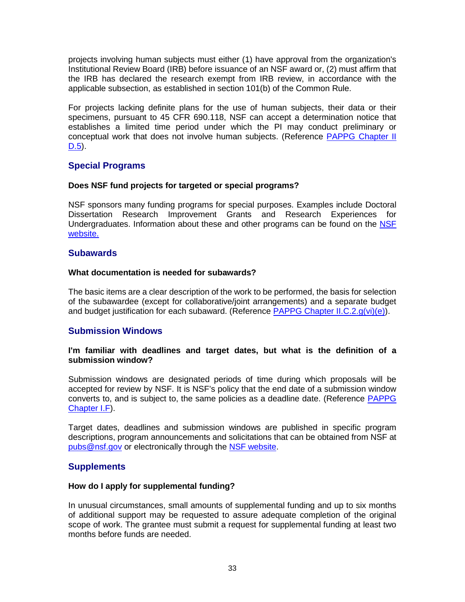projects involving human subjects must either (1) have approval from the organization's Institutional Review Board (IRB) before issuance of an NSF award or, (2) must affirm that the IRB has declared the research exempt from IRB review, in accordance with the applicable subsection, as established in section 101(b) of the Common Rule.

For projects lacking definite plans for the use of human subjects, their data or their specimens, pursuant to 45 CFR 690.118, NSF can accept a determination notice that establishes a limited time period under which the PI may conduct preliminary or conceptual work that does not involve human subjects. (Reference [PAPPG Chapter II](https://www.nsf.gov/pubs/policydocs/pappg17_1/pappg_2.jsp#IID5)  [D.5\)](https://www.nsf.gov/pubs/policydocs/pappg17_1/pappg_2.jsp#IID5).

## **Special Programs**

#### **Does NSF fund projects for targeted or special programs?**

NSF sponsors many funding programs for special purposes. Examples include Doctoral Dissertation Research Improvement Grants and Research Experiences for Undergraduates. Information about these and other programs can be found on the [NSF](https://www.nsf.gov/funding/index.jsp)  [website.](https://www.nsf.gov/funding/index.jsp)

#### **Subawards**

#### **What documentation is needed for subawards?**

The basic items are a clear description of the work to be performed, the basis for selection of the subawardee (except for collaborative/joint arrangements) and a separate budget and budget justification for each subaward. (Reference [PAPPG Chapter II.C.2.g\(vi\)\(e\)\)](https://www.nsf.gov/pubs/policydocs/pappg17_1/pappg_2.jsp#IIC2gvie).

### **Submission Windows**

#### **I'm familiar with deadlines and target dates, but what is the definition of a submission window?**

Submission windows are designated periods of time during which proposals will be accepted for review by NSF. It is NSF's policy that the end date of a submission window converts to, and is subject to, the same policies as a deadline date. (Reference [PAPPG](https://www.nsf.gov/pubs/policydocs/pappg17_1/pappg_1.jsp#IF)  [Chapter I.F\)](https://www.nsf.gov/pubs/policydocs/pappg17_1/pappg_1.jsp#IF).

Target dates, deadlines and submission windows are published in specific program descriptions, program announcements and solicitations that can be obtained from NSF at [pubs@nsf.gov](mailto:pubs@nsf.gov) or electronically through the [NSF website.](https://www.nsf.gov/funding/pgm_list.jsp?org=NSF&ord=date)

### **Supplements**

#### **How do I apply for supplemental funding?**

In unusual circumstances, small amounts of supplemental funding and up to six months of additional support may be requested to assure adequate completion of the original scope of work. The grantee must submit a request for supplemental funding at least two months before funds are needed.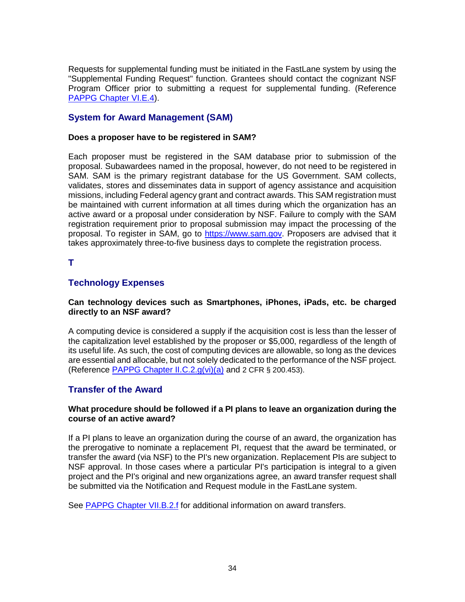Requests for supplemental funding must be initiated in the FastLane system by using the "Supplemental Funding Request" function. Grantees should contact the cognizant NSF Program Officer prior to submitting a request for supplemental funding. (Reference [PAPPG Chapter VI.E.4\)](https://www.nsf.gov/pubs/policydocs/pappg17_1/pappg_6.jsp#VIE4).

## **System for Award Management (SAM)**

## **Does a proposer have to be registered in SAM?**

Each proposer must be registered in the SAM database prior to submission of the proposal. Subawardees named in the proposal, however, do not need to be registered in SAM. SAM is the primary registrant database for the US Government. SAM collects, validates, stores and disseminates data in support of agency assistance and acquisition missions, including Federal agency grant and contract awards. This SAM registration must be maintained with current information at all times during which the organization has an active award or a proposal under consideration by NSF. Failure to comply with the SAM registration requirement prior to proposal submission may impact the processing of the proposal. To register in SAM, go to [https://www.sam.gov.](https://www.sam.gov/) Proposers are advised that it takes approximately three-to-five business days to complete the registration process.

## **T**

## **Technology Expenses**

### **Can technology devices such as Smartphones, iPhones, iPads, etc. be charged directly to an NSF award?**

A computing device is considered a supply if the acquisition cost is less than the lesser of the capitalization level established by the proposer or \$5,000, regardless of the length of its useful life. As such, the cost of computing devices are allowable, so long as the devices are essential and allocable, but not solely dedicated to the performance of the NSF project. (Reference PAPPG Chapter II.C.2. $q(vi)(a)$  and 2 CFR § 200.453).

## **Transfer of the Award**

### **What procedure should be followed if a PI plans to leave an organization during the course of an active award?**

If a PI plans to leave an organization during the course of an award, the organization has the prerogative to nominate a replacement PI, request that the award be terminated, or transfer the award (via NSF) to the PI's new organization. Replacement PIs are subject to NSF approval. In those cases where a particular PI's participation is integral to a given project and the PI's original and new organizations agree, an award transfer request shall be submitted via the Notification and Request module in the FastLane system.

See [PAPPG Chapter VII.B.2.f](https://www.nsf.gov/pubs/policydocs/pappg17_1/pappg_7.jsp#VIIB2f) for additional information on award transfers.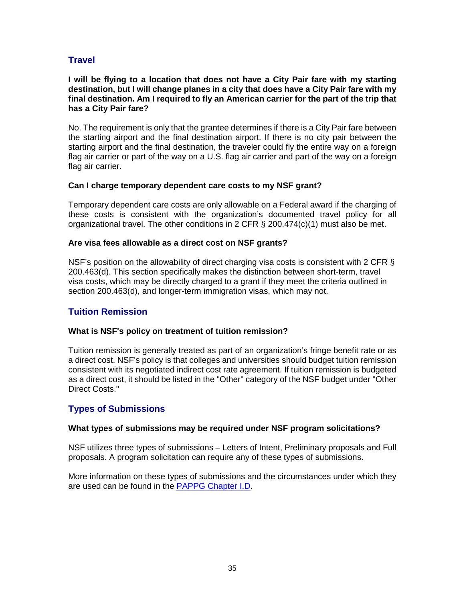# **Travel**

#### **I will be flying to a location that does not have a City Pair fare with my starting destination, but I will change planes in a city that does have a City Pair fare with my final destination. Am I required to fly an American carrier for the part of the trip that has a City Pair fare?**

No. The requirement is only that the grantee determines if there is a City Pair fare between the starting airport and the final destination airport. If there is no city pair between the starting airport and the final destination, the traveler could fly the entire way on a foreign flag air carrier or part of the way on a U.S. flag air carrier and part of the way on a foreign flag air carrier.

### **Can I charge temporary dependent care costs to my NSF grant?**

Temporary dependent care costs are only allowable on a Federal award if the charging of these costs is consistent with the organization's documented travel policy for all organizational travel. The other conditions in 2 CFR  $\S$  200.474(c)(1) must also be met.

#### **Are visa fees allowable as a direct cost on NSF grants?**

NSF's position on the allowability of direct charging visa costs is consistent with 2 CFR § 200.463(d). This section specifically makes the distinction between short-term, travel visa costs, which may be directly charged to a grant if they meet the criteria outlined in section 200.463(d), and longer-term immigration visas, which may not.

## **Tuition Remission**

### **What is NSF's policy on treatment of tuition remission?**

Tuition remission is generally treated as part of an organization's fringe benefit rate or as a direct cost. NSF's policy is that colleges and universities should budget tuition remission consistent with its negotiated indirect cost rate agreement. If tuition remission is budgeted as a direct cost, it should be listed in the "Other" category of the NSF budget under "Other Direct Costs."

## **Types of Submissions**

#### **What types of submissions may be required under NSF program solicitations?**

NSF utilizes three types of submissions – Letters of Intent, Preliminary proposals and Full proposals. A program solicitation can require any of these types of submissions.

More information on these types of submissions and the circumstances under which they are used can be found in the [PAPPG Chapter I.D.](https://www.nsf.gov/pubs/policydocs/pappg17_1/pappg_1.jsp#ID)